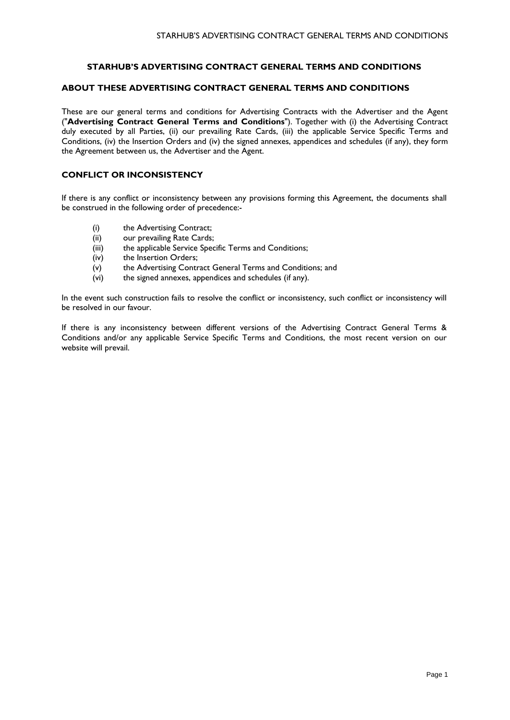# **STARHUB'S ADVERTISING CONTRACT GENERAL TERMS AND CONDITIONS**

# **ABOUT THESE ADVERTISING CONTRACT GENERAL TERMS AND CONDITIONS**

These are our general terms and conditions for Advertising Contracts with the Advertiser and the Agent ("**Advertising Contract General Terms and Conditions**"). Together with (i) the Advertising Contract duly executed by all Parties, (ii) our prevailing Rate Cards, (iii) the applicable Service Specific Terms and Conditions, (iv) the Insertion Orders and (iv) the signed annexes, appendices and schedules (if any), they form the Agreement between us, the Advertiser and the Agent.

# **CONFLICT OR INCONSISTENCY**

If there is any conflict or inconsistency between any provisions forming this Agreement, the documents shall be construed in the following order of precedence:-

- (i) the Advertising Contract;
- (ii) our prevailing Rate Cards;
- (iii) the applicable Service Specific Terms and Conditions;
- (iv) the Insertion Orders;
- (v) the Advertising Contract General Terms and Conditions; and
- (vi) the signed annexes, appendices and schedules (if any).

In the event such construction fails to resolve the conflict or inconsistency, such conflict or inconsistency will be resolved in our favour.

If there is any inconsistency between different versions of the Advertising Contract General Terms & Conditions and/or any applicable Service Specific Terms and Conditions, the most recent version on our website will prevail.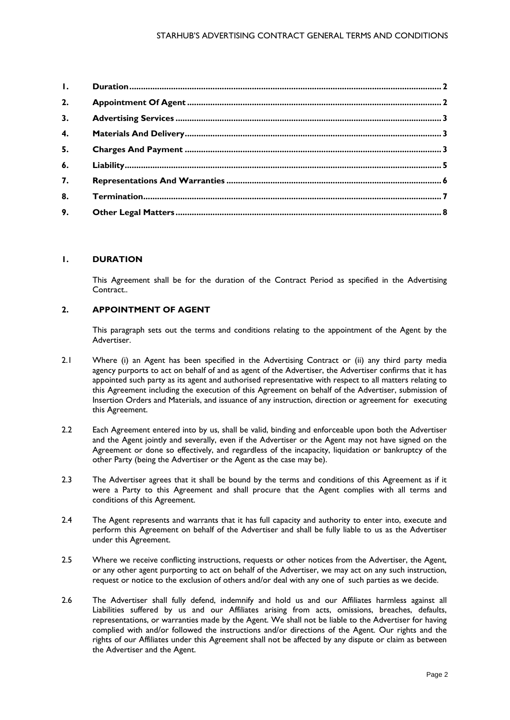<span id="page-1-2"></span>

| $\mathbf{L}$     |  |
|------------------|--|
| 2.               |  |
| 3.               |  |
| $\overline{4}$ . |  |
| 5.               |  |
| 6.               |  |
| 7.               |  |
| 8.               |  |
| 9.               |  |

## <span id="page-1-0"></span>**1. DURATION**

This Agreement shall be for the duration of the Contract Period as specified in the Advertising Contract..

## <span id="page-1-1"></span>**2. APPOINTMENT OF AGENT**

This paragraph sets out the terms and conditions relating to the appointment of the Agent by the Advertiser.

- 2.1 Where (i) an Agent has been specified in the Advertising Contract or (ii) any third party media agency purports to act on behalf of and as agent of the Advertiser, the Advertiser confirms that it has appointed such party as its agent and authorised representative with respect to all matters relating to this Agreement including the execution of this Agreement on behalf of the Advertiser, submission of Insertion Orders and Materials, and issuance of any instruction, direction or agreement for executing this Agreement.
- 2.2 Each Agreement entered into by us, shall be valid, binding and enforceable upon both the Advertiser and the Agent jointly and severally, even if the Advertiser or the Agent may not have signed on the Agreement or done so effectively, and regardless of the incapacity, liquidation or bankruptcy of the other Party (being the Advertiser or the Agent as the case may be).
- 2.3 The Advertiser agrees that it shall be bound by the terms and conditions of this Agreement as if it were a Party to this Agreement and shall procure that the Agent complies with all terms and conditions of this Agreement.
- 2.4 The Agent represents and warrants that it has full capacity and authority to enter into, execute and perform this Agreement on behalf of the Advertiser and shall be fully liable to us as the Advertiser under this Agreement.
- 2.5 Where we receive conflicting instructions, requests or other notices from the Advertiser, the Agent, or any other agent purporting to act on behalf of the Advertiser, we may act on any such instruction, request or notice to the exclusion of others and/or deal with any one of such parties as we decide.
- 2.6 The Advertiser shall fully defend, indemnify and hold us and our Affiliates harmless against all Liabilities suffered by us and our Affiliates arising from acts, omissions, breaches, defaults, representations, or warranties made by the Agent. We shall not be liable to the Advertiser for having complied with and/or followed the instructions and/or directions of the Agent. Our rights and the rights of our Affiliates under this Agreement shall not be affected by any dispute or claim as between the Advertiser and the Agent.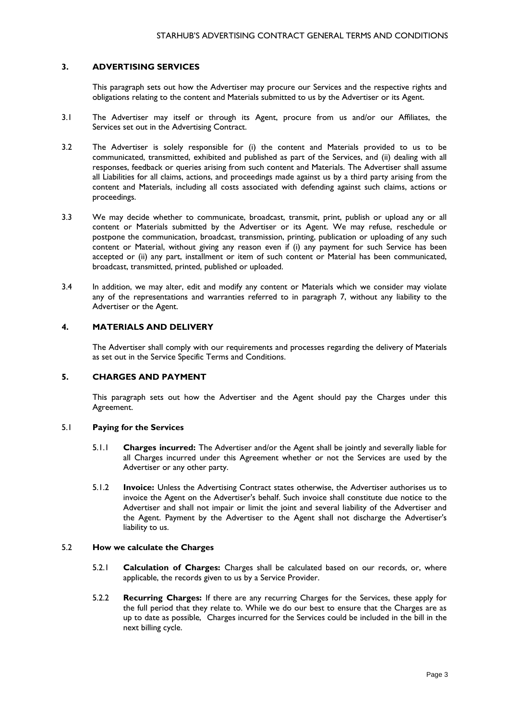# **3. ADVERTISING SERVICES**

This paragraph sets out how the Advertiser may procure our Services and the respective rights and obligations relating to the content and Materials submitted to us by the Advertiser or its Agent.

- 3.1 The Advertiser may itself or through its Agent, procure from us and/or our Affiliates, the Services set out in the Advertising Contract.
- 3.2 The Advertiser is solely responsible for (i) the content and Materials provided to us to be communicated, transmitted, exhibited and published as part of the Services, and (ii) dealing with all responses, feedback or queries arising from such content and Materials. The Advertiser shall assume all Liabilities for all claims, actions, and proceedings made against us by a third party arising from the content and Materials, including all costs associated with defending against such claims, actions or proceedings.
- 3.3 We may decide whether to communicate, broadcast, transmit, print, publish or upload any or all content or Materials submitted by the Advertiser or its Agent. We may refuse, reschedule or postpone the communication, broadcast, transmission, printing, publication or uploading of any such content or Material, without giving any reason even if (i) any payment for such Service has been accepted or (ii) any part, installment or item of such content or Material has been communicated, broadcast, transmitted, printed, published or uploaded.
- 3.4 In addition, we may alter, edit and modify any content or Materials which we consider may violate any of the representations and warranties referred to in paragraph 7, without any liability to the Advertiser or the Agent.

## <span id="page-2-0"></span>**4. MATERIALS AND DELIVERY**

The Advertiser shall comply with our requirements and processes regarding the delivery of Materials as set out in the Service Specific Terms and Conditions.

#### <span id="page-2-1"></span>**5. CHARGES AND PAYMENT**

This paragraph sets out how the Advertiser and the Agent should pay the Charges under this Agreement.

#### 5.1 **Paying for the Services**

- 5.1.1 **Charges incurred:** The Advertiser and/or the Agent shall be jointly and severally liable for all Charges incurred under this Agreement whether or not the Services are used by the Advertiser or any other party.
- 5.1.2 **Invoice:** Unless the Advertising Contract states otherwise, the Advertiser authorises us to invoice the Agent on the Advertiser's behalf. Such invoice shall constitute due notice to the Advertiser and shall not impair or limit the joint and several liability of the Advertiser and the Agent. Payment by the Advertiser to the Agent shall not discharge the Advertiser's liability to us.

#### 5.2 **How we calculate the Charges**

- 5.2.1 **Calculation of Charges:** Charges shall be calculated based on our records, or, where applicable, the records given to us by a Service Provider.
- 5.2.2 **Recurring Charges:** If there are any recurring Charges for the Services, these apply for the full period that they relate to. While we do our best to ensure that the Charges are as up to date as possible, Charges incurred for the Services could be included in the bill in the next billing cycle.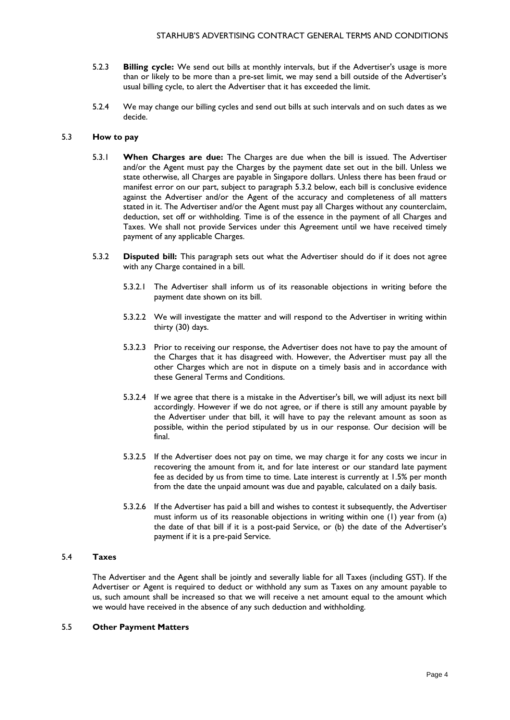- 5.2.3 **Billing cycle:** We send out bills at monthly intervals, but if the Advertiser's usage is more than or likely to be more than a pre-set limit, we may send a bill outside of the Advertiser's usual billing cycle, to alert the Advertiser that it has exceeded the limit.
- 5.2.4 We may change our billing cycles and send out bills at such intervals and on such dates as we decide.

#### 5.3 **How to pay**

- 5.3.1 **When Charges are due:** The Charges are due when the bill is issued. The Advertiser and/or the Agent must pay the Charges by the payment date set out in the bill. Unless we state otherwise, all Charges are payable in Singapore dollars. Unless there has been fraud or manifest error on our part, subject to paragraph 5.3.2 below, each bill is conclusive evidence against the Advertiser and/or the Agent of the accuracy and completeness of all matters stated in it. The Advertiser and/or the Agent must pay all Charges without any counterclaim, deduction, set off or withholding. Time is of the essence in the payment of all Charges and Taxes. We shall not provide Services under this Agreement until we have received timely payment of any applicable Charges.
- 5.3.2 **Disputed bill:** This paragraph sets out what the Advertiser should do if it does not agree with any Charge contained in a bill.
	- 5.3.2.1 The Advertiser shall inform us of its reasonable objections in writing before the payment date shown on its bill.
	- 5.3.2.2 We will investigate the matter and will respond to the Advertiser in writing within thirty (30) days.
	- 5.3.2.3 Prior to receiving our response, the Advertiser does not have to pay the amount of the Charges that it has disagreed with. However, the Advertiser must pay all the other Charges which are not in dispute on a timely basis and in accordance with these General Terms and Conditions.
	- 5.3.2.4 If we agree that there is a mistake in the Advertiser's bill, we will adjust its next bill accordingly. However if we do not agree, or if there is still any amount payable by the Advertiser under that bill, it will have to pay the relevant amount as soon as possible, within the period stipulated by us in our response. Our decision will be final.
	- 5.3.2.5 If the Advertiser does not pay on time, we may charge it for any costs we incur in recovering the amount from it, and for late interest or our standard late payment fee as decided by us from time to time. Late interest is currently at 1.5% per month from the date the unpaid amount was due and payable, calculated on a daily basis.
	- 5.3.2.6 If the Advertiser has paid a bill and wishes to contest it subsequently, the Advertiser must inform us of its reasonable objections in writing within one (1) year from (a) the date of that bill if it is a post-paid Service, or (b) the date of the Advertiser's payment if it is a pre-paid Service.

#### 5.4 **Taxes**

The Advertiser and the Agent shall be jointly and severally liable for all Taxes (including GST). If the Advertiser or Agent is required to deduct or withhold any sum as Taxes on any amount payable to us, such amount shall be increased so that we will receive a net amount equal to the amount which we would have received in the absence of any such deduction and withholding.

#### 5.5 **Other Payment Matters**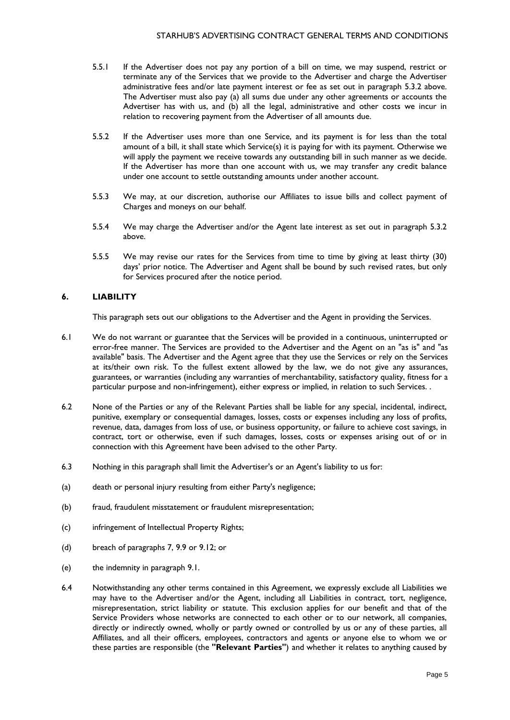- 5.5.1 If the Advertiser does not pay any portion of a bill on time, we may suspend, restrict or terminate any of the Services that we provide to the Advertiser and charge the Advertiser administrative fees and/or late payment interest or fee as set out in paragraph 5.3.2 above. The Advertiser must also pay (a) all sums due under any other agreements or accounts the Advertiser has with us, and (b) all the legal, administrative and other costs we incur in relation to recovering payment from the Advertiser of all amounts due.
- 5.5.2 If the Advertiser uses more than one Service, and its payment is for less than the total amount of a bill, it shall state which Service(s) it is paying for with its payment. Otherwise we will apply the payment we receive towards any outstanding bill in such manner as we decide. If the Advertiser has more than one account with us, we may transfer any credit balance under one account to settle outstanding amounts under another account.
- 5.5.3 We may, at our discretion, authorise our Affiliates to issue bills and collect payment of Charges and moneys on our behalf.
- 5.5.4 We may charge the Advertiser and/or the Agent late interest as set out in paragraph 5.3.2 above.
- 5.5.5 We may revise our rates for the Services from time to time by giving at least thirty (30) days' prior notice. The Advertiser and Agent shall be bound by such revised rates, but only for Services procured after the notice period.

## <span id="page-4-0"></span>**6. LIABILITY**

This paragraph sets out our obligations to the Advertiser and the Agent in providing the Services.

- 6.1 We do not warrant or guarantee that the Services will be provided in a continuous, uninterrupted or error-free manner. The Services are provided to the Advertiser and the Agent on an "as is" and "as available" basis. The Advertiser and the Agent agree that they use the Services or rely on the Services at its/their own risk. To the fullest extent allowed by the law, we do not give any assurances, guarantees, or warranties (including any warranties of merchantability, satisfactory quality, fitness for a particular purpose and non-infringement), either express or implied, in relation to such Services. .
- 6.2 None of the Parties or any of the Relevant Parties shall be liable for any special, incidental, indirect, punitive, exemplary or consequential damages, losses, costs or expenses including any loss of profits, revenue, data, damages from loss of use, or business opportunity, or failure to achieve cost savings, in contract, tort or otherwise, even if such damages, losses, costs or expenses arising out of or in connection with this Agreement have been advised to the other Party.
- 6.3 Nothing in this paragraph shall limit the Advertiser's or an Agent's liability to us for:
- (a) death or personal injury resulting from either Party's negligence;
- (b) fraud, fraudulent misstatement or fraudulent misrepresentation;
- (c) infringement of Intellectual Property Rights;
- (d) breach of paragraphs 7, 9.9 or 9.12; or
- (e) the indemnity in paragraph 9.1.
- 6.4 Notwithstanding any other terms contained in this Agreement, we expressly exclude all Liabilities we may have to the Advertiser and/or the Agent, including all Liabilities in contract, tort, negligence, misrepresentation, strict liability or statute. This exclusion applies for our benefit and that of the Service Providers whose networks are connected to each other or to our network, all companies, directly or indirectly owned, wholly or partly owned or controlled by us or any of these parties, all Affiliates, and all their officers, employees, contractors and agents or anyone else to whom we or these parties are responsible (the **"Relevant Parties"**) and whether it relates to anything caused by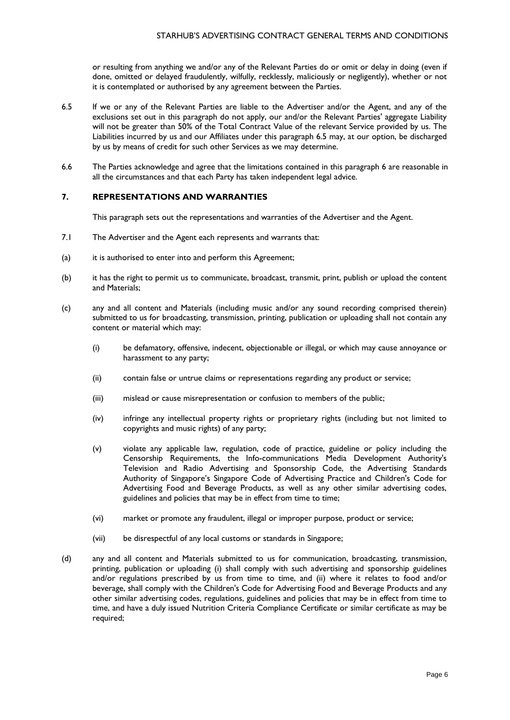or resulting from anything we and/or any of the Relevant Parties do or omit or delay in doing (even if done, omitted or delayed fraudulently, wilfully, recklessly, maliciously or negligently), whether or not it is contemplated or authorised by any agreement between the Parties.

- 6.5 If we or any of the Relevant Parties are liable to the Advertiser and/or the Agent, and any of the exclusions set out in this paragraph do not apply, our and/or the Relevant Parties' aggregate Liability will not be greater than 50% of the Total Contract Value of the relevant Service provided by us. The Liabilities incurred by us and our Affiliates under this paragraph 6.5 may, at our option, be discharged by us by means of credit for such other Services as we may determine.
- 6.6 The Parties acknowledge and agree that the limitations contained in this paragraph 6 are reasonable in all the circumstances and that each Party has taken independent legal advice.

# <span id="page-5-0"></span>**7. REPRESENTATIONS AND WARRANTIES**

This paragraph sets out the representations and warranties of the Advertiser and the Agent.

- 7.1 The Advertiser and the Agent each represents and warrants that:
- (a) it is authorised to enter into and perform this Agreement;
- (b) it has the right to permit us to communicate, broadcast, transmit, print, publish or upload the content and Materials;
- (c) any and all content and Materials (including music and/or any sound recording comprised therein) submitted to us for broadcasting, transmission, printing, publication or uploading shall not contain any content or material which may:
	- (i) be defamatory, offensive, indecent, objectionable or illegal, or which may cause annoyance or harassment to any party;
	- (ii) contain false or untrue claims or representations regarding any product or service;
	- (iii) mislead or cause misrepresentation or confusion to members of the public;
	- (iv) infringe any intellectual property rights or proprietary rights (including but not limited to copyrights and music rights) of any party;
	- (v) violate any applicable law, regulation, code of practice, guideline or policy including the Censorship Requirements, the Info-communications Media Development Authority's Television and Radio Advertising and Sponsorship Code, the Advertising Standards Authority of Singapore's Singapore Code of Advertising Practice and Children's Code for Advertising Food and Beverage Products, as well as any other similar advertising codes, guidelines and policies that may be in effect from time to time;
	- (vi) market or promote any fraudulent, illegal or improper purpose, product or service;
	- (vii) be disrespectful of any local customs or standards in Singapore;
- (d) any and all content and Materials submitted to us for communication, broadcasting, transmission, printing, publication or uploading (i) shall comply with such advertising and sponsorship guidelines and/or regulations prescribed by us from time to time, and (ii) where it relates to food and/or beverage, shall comply with the Children's Code for Advertising Food and Beverage Products and any other similar advertising codes, regulations, guidelines and policies that may be in effect from time to time, and have a duly issued Nutrition Criteria Compliance Certificate or similar certificate as may be required;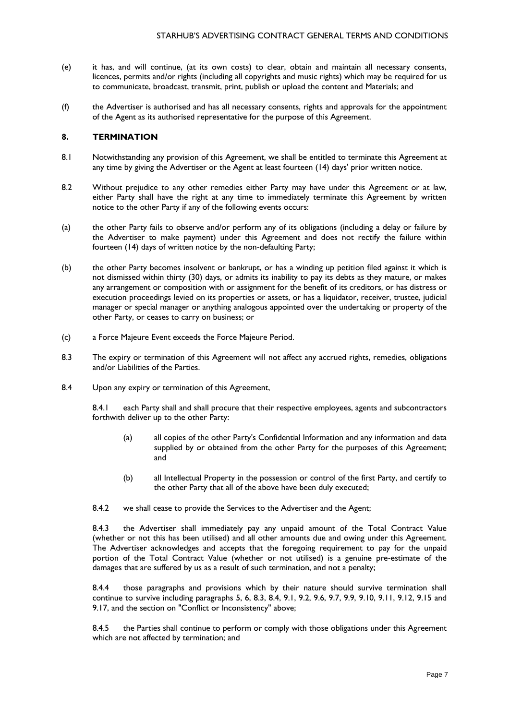- (e) it has, and will continue, (at its own costs) to clear, obtain and maintain all necessary consents, licences, permits and/or rights (including all copyrights and music rights) which may be required for us to communicate, broadcast, transmit, print, publish or upload the content and Materials; and
- (f) the Advertiser is authorised and has all necessary consents, rights and approvals for the appointment of the Agent as its authorised representative for the purpose of this Agreement.

#### <span id="page-6-0"></span>**8. TERMINATION**

- 8.1 Notwithstanding any provision of this Agreement, we shall be entitled to terminate this Agreement at any time by giving the Advertiser or the Agent at least fourteen (14) days' prior written notice.
- 8.2 Without prejudice to any other remedies either Party may have under this Agreement or at law, either Party shall have the right at any time to immediately terminate this Agreement by written notice to the other Party if any of the following events occurs:
- (a) the other Party fails to observe and/or perform any of its obligations (including a delay or failure by the Advertiser to make payment) under this Agreement and does not rectify the failure within fourteen (14) days of written notice by the non-defaulting Party;
- (b) the other Party becomes insolvent or bankrupt, or has a winding up petition filed against it which is not dismissed within thirty (30) days, or admits its inability to pay its debts as they mature, or makes any arrangement or composition with or assignment for the benefit of its creditors, or has distress or execution proceedings levied on its properties or assets, or has a liquidator, receiver, trustee, judicial manager or special manager or anything analogous appointed over the undertaking or property of the other Party, or ceases to carry on business; or
- (c) a Force Majeure Event exceeds the Force Majeure Period.
- 8.3 The expiry or termination of this Agreement will not affect any accrued rights, remedies, obligations and/or Liabilities of the Parties.
- 8.4 Upon any expiry or termination of this Agreement,

8.4.1 each Party shall and shall procure that their respective employees, agents and subcontractors forthwith deliver up to the other Party:

- (a) all copies of the other Party's Confidential Information and any information and data supplied by or obtained from the other Party for the purposes of this Agreement; and
- (b) all Intellectual Property in the possession or control of the first Party, and certify to the other Party that all of the above have been duly executed;
- 8.4.2 we shall cease to provide the Services to the Advertiser and the Agent;

8.4.3 the Advertiser shall immediately pay any unpaid amount of the Total Contract Value (whether or not this has been utilised) and all other amounts due and owing under this Agreement. The Advertiser acknowledges and accepts that the foregoing requirement to pay for the unpaid portion of the Total Contract Value (whether or not utilised) is a genuine pre-estimate of the damages that are suffered by us as a result of such termination, and not a penalty;

8.4.4 those paragraphs and provisions which by their nature should survive termination shall continue to survive including paragraphs 5, 6, 8.3, 8.4, 9.1, 9.2, 9.6, 9.7, 9.9, 9.10, 9.11, 9.12, 9.15 and 9.17, and the section on "Conflict or Inconsistency" above;

8.4.5 the Parties shall continue to perform or comply with those obligations under this Agreement which are not affected by termination; and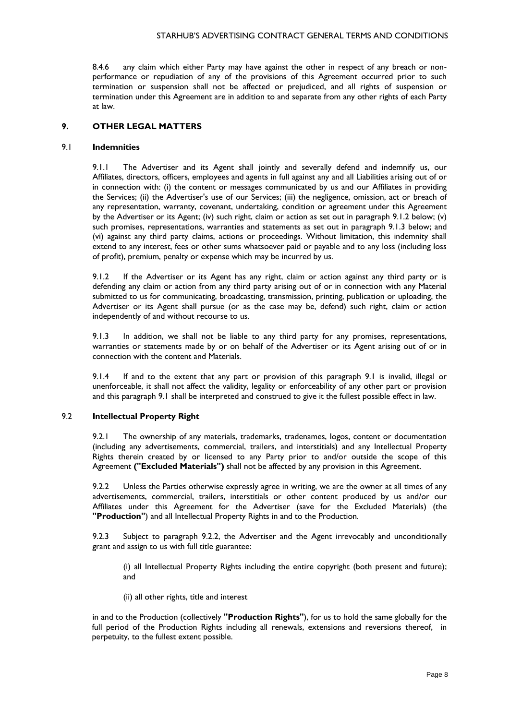8.4.6 any claim which either Party may have against the other in respect of any breach or nonperformance or repudiation of any of the provisions of this Agreement occurred prior to such termination or suspension shall not be affected or prejudiced, and all rights of suspension or termination under this Agreement are in addition to and separate from any other rights of each Party at law.

# **9. OTHER LEGAL MATTERS**

### 9.1 **Indemnities**

9.1.1 The Advertiser and its Agent shall jointly and severally defend and indemnify us, our Affiliates, directors, officers, employees and agents in full against any and all Liabilities arising out of or in connection with: (i) the content or messages communicated by us and our Affiliates in providing the Services; (ii) the Advertiser's use of our Services; (iii) the negligence, omission, act or breach of any representation, warranty, covenant, undertaking, condition or agreement under this Agreement by the Advertiser or its Agent; (iv) such right, claim or action as set out in paragraph 9.1.2 below; (v) such promises, representations, warranties and statements as set out in paragraph 9.1.3 below; and (vi) against any third party claims, actions or proceedings. Without limitation, this indemnity shall extend to any interest, fees or other sums whatsoever paid or payable and to any loss (including loss of profit), premium, penalty or expense which may be incurred by us.

9.1.2 If the Advertiser or its Agent has any right, claim or action against any third party or is defending any claim or action from any third party arising out of or in connection with any Material submitted to us for communicating, broadcasting, transmission, printing, publication or uploading, the Advertiser or its Agent shall pursue (or as the case may be, defend) such right, claim or action independently of and without recourse to us.

9.1.3 In addition, we shall not be liable to any third party for any promises, representations, warranties or statements made by or on behalf of the Advertiser or its Agent arising out of or in connection with the content and Materials.

9.1.4 If and to the extent that any part or provision of this paragraph 9.1 is invalid, illegal or unenforceable, it shall not affect the validity, legality or enforceability of any other part or provision and this paragraph 9.1 shall be interpreted and construed to give it the fullest possible effect in law.

## 9.2 **Intellectual Property Right**

9.2.1 The ownership of any materials, trademarks, tradenames, logos, content or documentation (including any advertisements, commercial, trailers, and interstitials) and any Intellectual Property Rights therein created by or licensed to any Party prior to and/or outside the scope of this Agreement **("Excluded Materials")** shall not be affected by any provision in this Agreement.

9.2.2 Unless the Parties otherwise expressly agree in writing, we are the owner at all times of any advertisements, commercial, trailers, interstitials or other content produced by us and/or our Affiliates under this Agreement for the Advertiser (save for the Excluded Materials) (the **"Production"**) and all Intellectual Property Rights in and to the Production.

9.2.3 Subject to paragraph 9.2.2, the Advertiser and the Agent irrevocably and unconditionally grant and assign to us with full title guarantee:

(i) all Intellectual Property Rights including the entire copyright (both present and future); and

(ii) all other rights, title and interest

in and to the Production (collectively **"Production Rights"**), for us to hold the same globally for the full period of the Production Rights including all renewals, extensions and reversions thereof, in perpetuity, to the fullest extent possible.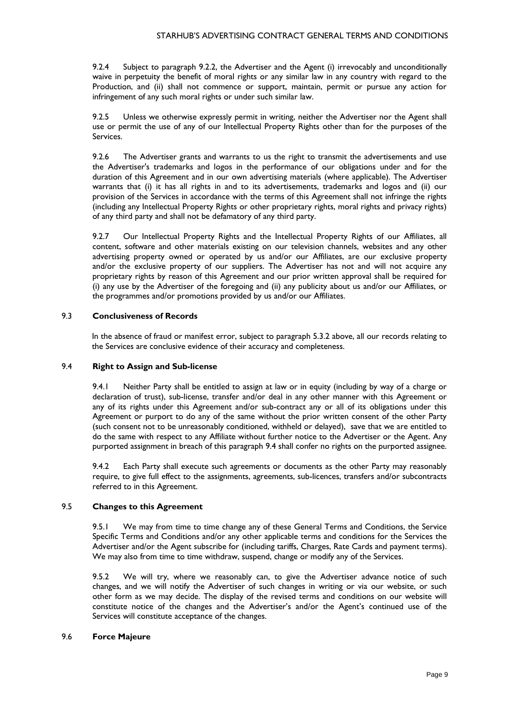9.2.4 Subject to paragraph 9.2.2, the Advertiser and the Agent (i) irrevocably and unconditionally waive in perpetuity the benefit of moral rights or any similar law in any country with regard to the Production, and (ii) shall not commence or support, maintain, permit or pursue any action for infringement of any such moral rights or under such similar law.

9.2.5 Unless we otherwise expressly permit in writing, neither the Advertiser nor the Agent shall use or permit the use of any of our Intellectual Property Rights other than for the purposes of the Services.

9.2.6 The Advertiser grants and warrants to us the right to transmit the advertisements and use the Advertiser's trademarks and logos in the performance of our obligations under and for the duration of this Agreement and in our own advertising materials (where applicable). The Advertiser warrants that (i) it has all rights in and to its advertisements, trademarks and logos and (ii) our provision of the Services in accordance with the terms of this Agreement shall not infringe the rights (including any Intellectual Property Rights or other proprietary rights, moral rights and privacy rights) of any third party and shall not be defamatory of any third party.

9.2.7 Our Intellectual Property Rights and the Intellectual Property Rights of our Affiliates, all content, software and other materials existing on our television channels, websites and any other advertising property owned or operated by us and/or our Affiliates, are our exclusive property and/or the exclusive property of our suppliers. The Advertiser has not and will not acquire any proprietary rights by reason of this Agreement and our prior written approval shall be required for (i) any use by the Advertiser of the foregoing and (ii) any publicity about us and/or our Affiliates, or the programmes and/or promotions provided by us and/or our Affiliates.

# 9.3 **Conclusiveness of Records**

In the absence of fraud or manifest error, subject to paragraph 5.3.2 above, all our records relating to the Services are conclusive evidence of their accuracy and completeness.

#### 9.4 **Right to Assign and Sub-license**

9.4.1 Neither Party shall be entitled to assign at law or in equity (including by way of a charge or declaration of trust), sub-license, transfer and/or deal in any other manner with this Agreement or any of its rights under this Agreement and/or sub-contract any or all of its obligations under this Agreement or purport to do any of the same without the prior written consent of the other Party (such consent not to be unreasonably conditioned, withheld or delayed), save that we are entitled to do the same with respect to any Affiliate without further notice to the Advertiser or the Agent. Any purported assignment in breach of this paragraph 9.4 shall confer no rights on the purported assignee.

9.4.2 Each Party shall execute such agreements or documents as the other Party may reasonably require, to give full effect to the assignments, agreements, sub-licences, transfers and/or subcontracts referred to in this Agreement.

#### 9.5 **Changes to this Agreement**

9.5.1 We may from time to time change any of these General Terms and Conditions, the Service Specific Terms and Conditions and/or any other applicable terms and conditions for the Services the Advertiser and/or the Agent subscribe for (including tariffs, Charges, Rate Cards and payment terms). We may also from time to time withdraw, suspend, change or modify any of the Services.

9.5.2 We will try, where we reasonably can, to give the Advertiser advance notice of such changes, and we will notify the Advertiser of such changes in writing or via our website, or such other form as we may decide. The display of the revised terms and conditions on our website will constitute notice of the changes and the Advertiser's and/or the Agent's continued use of the Services will constitute acceptance of the changes.

#### 9.6 **Force Majeure**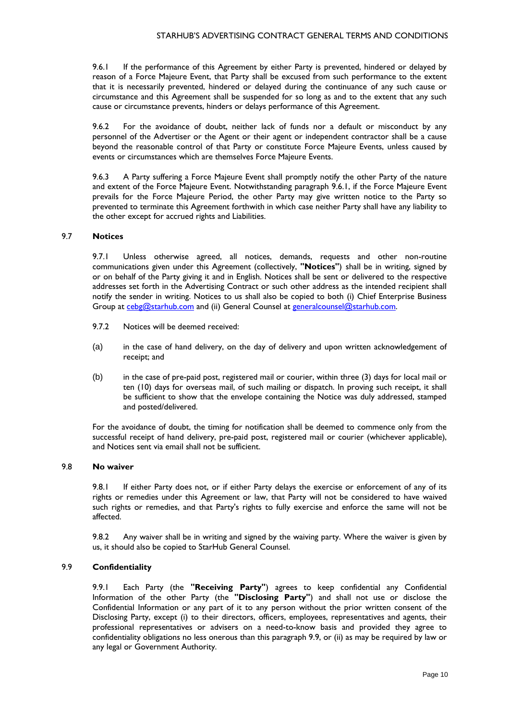9.6.1 If the performance of this Agreement by either Party is prevented, hindered or delayed by reason of a Force Majeure Event, that Party shall be excused from such performance to the extent that it is necessarily prevented, hindered or delayed during the continuance of any such cause or circumstance and this Agreement shall be suspended for so long as and to the extent that any such cause or circumstance prevents, hinders or delays performance of this Agreement.

9.6.2 For the avoidance of doubt, neither lack of funds nor a default or misconduct by any personnel of the Advertiser or the Agent or their agent or independent contractor shall be a cause beyond the reasonable control of that Party or constitute Force Majeure Events, unless caused by events or circumstances which are themselves Force Majeure Events.

9.6.3 A Party suffering a Force Majeure Event shall promptly notify the other Party of the nature and extent of the Force Majeure Event. Notwithstanding paragraph 9.6.1, if the Force Majeure Event prevails for the Force Majeure Period, the other Party may give written notice to the Party so prevented to terminate this Agreement forthwith in which case neither Party shall have any liability to the other except for accrued rights and Liabilities.

#### 9.7 **Notices**

9.7.1 Unless otherwise agreed, all notices, demands, requests and other non-routine communications given under this Agreement (collectively, **"Notices"**) shall be in writing, signed by or on behalf of the Party giving it and in English. Notices shall be sent or delivered to the respective addresses set forth in the Advertising Contract or such other address as the intended recipient shall notify the sender in writing. Notices to us shall also be copied to both (i) Chief Enterprise Business Group at [cebg@starhub.com](mailto:cebg@starhub.com) and (ii) General Counsel at [generalcounsel@starhub.com.](mailto:generalcounsel@starhub.com)

- 9.7.2 Notices will be deemed received:
- (a) in the case of hand delivery, on the day of delivery and upon written acknowledgement of receipt; and
- (b) in the case of pre-paid post, registered mail or courier, within three (3) days for local mail or ten (10) days for overseas mail, of such mailing or dispatch. In proving such receipt, it shall be sufficient to show that the envelope containing the Notice was duly addressed, stamped and posted/delivered.

For the avoidance of doubt, the timing for notification shall be deemed to commence only from the successful receipt of hand delivery, pre-paid post, registered mail or courier (whichever applicable), and Notices sent via email shall not be sufficient.

# 9.8 **No waiver**

9.8.1 If either Party does not, or if either Party delays the exercise or enforcement of any of its rights or remedies under this Agreement or law, that Party will not be considered to have waived such rights or remedies, and that Party's rights to fully exercise and enforce the same will not be affected.

9.8.2 Any waiver shall be in writing and signed by the waiving party. Where the waiver is given by us, it should also be copied to StarHub General Counsel.

### 9.9 **Confidentiality**

9.9.1 Each Party (the **"Receiving Party"**) agrees to keep confidential any Confidential Information of the other Party (the **"Disclosing Party"**) and shall not use or disclose the Confidential Information or any part of it to any person without the prior written consent of the Disclosing Party, except (i) to their directors, officers, employees, representatives and agents, their professional representatives or advisers on a need-to-know basis and provided they agree to confidentiality obligations no less onerous than this paragraph 9.9, or (ii) as may be required by law or any legal or Government Authority.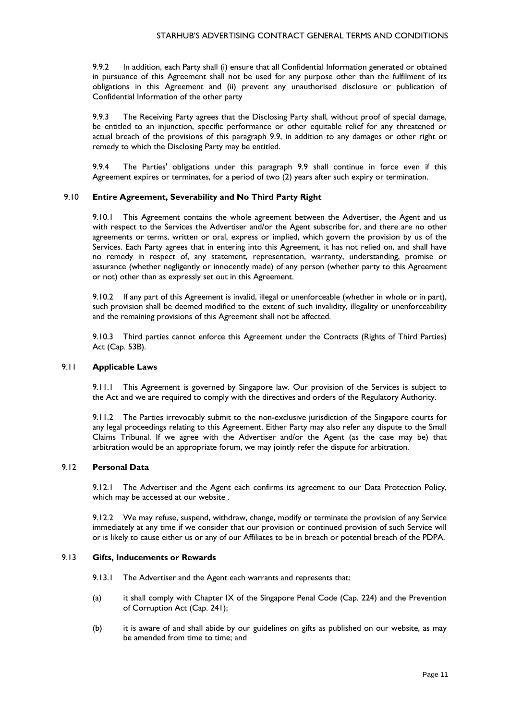9.9.2 In addition, each Party shall (i) ensure that all Confidential Information generated or obtained in pursuance of this Agreement shall not be used for any purpose other than the fulfilment of its obligations in this Agreement and (ii) prevent any unauthorised disclosure or publication of Confidential Information of the other party

9.9.3 The Receiving Party agrees that the Disclosing Party shall, without proof of special damage, be entitled to an injunction, specific performance or other equitable relief for any threatened or actual breach of the provisions of this paragraph 9.9, in addition to any damages or other right or remedy to which the Disclosing Party may be entitled.

9.9.4 The Parties' obligations under this paragraph 9.9 shall continue in force even if this Agreement expires or terminates, for a period of two (2) years after such expiry or termination.

#### 9.10 **Entire Agreement, Severability and No Third Party Right**

9.10.1 This Agreement contains the whole agreement between the Advertiser, the Agent and us with respect to the Services the Advertiser and/or the Agent subscribe for, and there are no other agreements or terms, written or oral, express or implied, which govern the provision by us of the Services. Each Party agrees that in entering into this Agreement, it has not relied on, and shall have no remedy in respect of, any statement, representation, warranty, understanding, promise or assurance (whether negligently or innocently made) of any person (whether party to this Agreement or not) other than as expressly set out in this Agreement.

9.10.2 If any part of this Agreement is invalid, illegal or unenforceable (whether in whole or in part), such provision shall be deemed modified to the extent of such invalidity, illegality or unenforceability and the remaining provisions of this Agreement shall not be affected.

9.10.3 Third parties cannot enforce this Agreement under the Contracts (Rights of Third Parties) Act (Cap. 53B).

#### 9.11 **Applicable Laws**

9.11.1 This Agreement is governed by Singapore law. Our provision of the Services is subject to the Act and we are required to comply with the directives and orders of the Regulatory Authority.

9.11.2 The Parties irrevocably submit to the non-exclusive jurisdiction of the Singapore courts for any legal proceedings relating to this Agreement. Either Party may also refer any dispute to the Small Claims Tribunal. If we agree with the Advertiser and/or the Agent (as the case may be) that arbitration would be an appropriate forum, we may jointly refer the dispute for arbitration.

# 9.12 **Personal Data**

9.12.1 The Advertiser and the Agent each confirms its agreement to our Data Protection Policy, which may be accessed at our website..

9.12.2 We may refuse, suspend, withdraw, change, modify or terminate the provision of any Service immediately at any time if we consider that our provision or continued provision of such Service will or is likely to cause either us or any of our Affiliates to be in breach or potential breach of the PDPA.

# 9.13 **Gifts, Inducements or Rewards**

- 9.13.1 The Advertiser and the Agent each warrants and represents that:
- (a) it shall comply with Chapter IX of the Singapore Penal Code (Cap. 224) and the Prevention of Corruption Act (Cap. 241);
- (b) it is aware of and shall abide by our guidelines on gifts as published on our website, as may be amended from time to time; and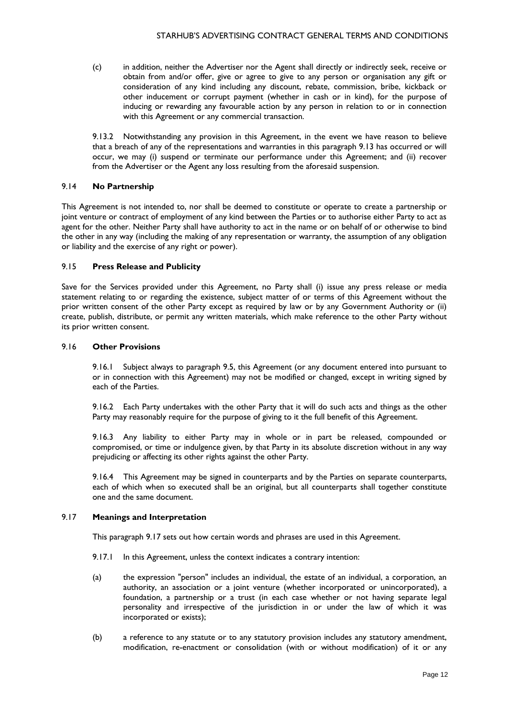(c) in addition, neither the Advertiser nor the Agent shall directly or indirectly seek, receive or obtain from and/or offer, give or agree to give to any person or organisation any gift or consideration of any kind including any discount, rebate, commission, bribe, kickback or other inducement or corrupt payment (whether in cash or in kind), for the purpose of inducing or rewarding any favourable action by any person in relation to or in connection with this Agreement or any commercial transaction.

9.13.2 Notwithstanding any provision in this Agreement, in the event we have reason to believe that a breach of any of the representations and warranties in this paragraph 9.13 has occurred or will occur, we may (i) suspend or terminate our performance under this Agreement; and (ii) recover from the Advertiser or the Agent any loss resulting from the aforesaid suspension.

### 9.14 **No Partnership**

This Agreement is not intended to, nor shall be deemed to constitute or operate to create a partnership or joint venture or contract of employment of any kind between the Parties or to authorise either Party to act as agent for the other. Neither Party shall have authority to act in the name or on behalf of or otherwise to bind the other in any way (including the making of any representation or warranty, the assumption of any obligation or liability and the exercise of any right or power).

#### 9.15 **Press Release and Publicity**

Save for the Services provided under this Agreement, no Party shall (i) issue any press release or media statement relating to or regarding the existence, subject matter of or terms of this Agreement without the prior written consent of the other Party except as required by law or by any Government Authority or (ii) create, publish, distribute, or permit any written materials, which make reference to the other Party without its prior written consent.

#### 9.16 **Other Provisions**

9.16.1 Subject always to paragraph 9.5, this Agreement (or any document entered into pursuant to or in connection with this Agreement) may not be modified or changed, except in writing signed by each of the Parties.

9.16.2 Each Party undertakes with the other Party that it will do such acts and things as the other Party may reasonably require for the purpose of giving to it the full benefit of this Agreement.

9.16.3 Any liability to either Party may in whole or in part be released, compounded or compromised, or time or indulgence given, by that Party in its absolute discretion without in any way prejudicing or affecting its other rights against the other Party.

9.16.4 This Agreement may be signed in counterparts and by the Parties on separate counterparts, each of which when so executed shall be an original, but all counterparts shall together constitute one and the same document.

#### 9.17 **Meanings and Interpretation**

This paragraph 9.17 sets out how certain words and phrases are used in this Agreement.

- 9.17.1 In this Agreement, unless the context indicates a contrary intention:
- (a) the expression "person" includes an individual, the estate of an individual, a corporation, an authority, an association or a joint venture (whether incorporated or unincorporated), a foundation, a partnership or a trust (in each case whether or not having separate legal personality and irrespective of the jurisdiction in or under the law of which it was incorporated or exists);
- (b) a reference to any statute or to any statutory provision includes any statutory amendment, modification, re-enactment or consolidation (with or without modification) of it or any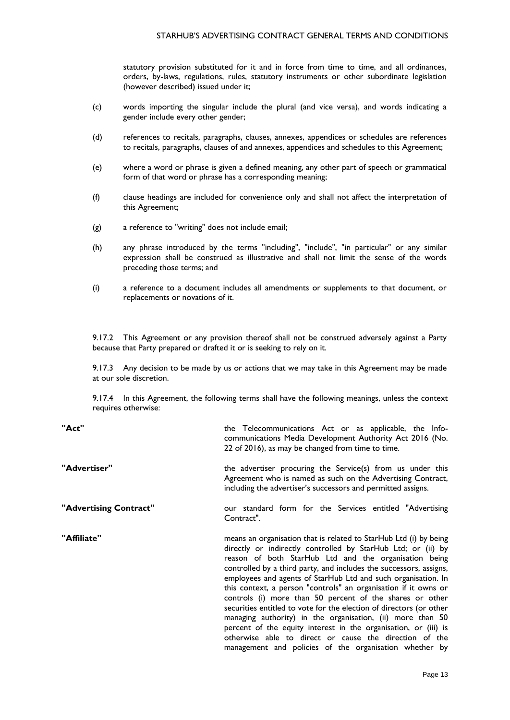#### STARHUB'S ADVERTISING CONTRACT GENERAL TERMS AND CONDITIONS

statutory provision substituted for it and in force from time to time, and all ordinances, orders, by-laws, regulations, rules, statutory instruments or other subordinate legislation (however described) issued under it;

- (c) words importing the singular include the plural (and vice versa), and words indicating a gender include every other gender;
- (d) references to recitals, paragraphs, clauses, annexes, appendices or schedules are references to recitals, paragraphs, clauses of and annexes, appendices and schedules to this Agreement;
- (e) where a word or phrase is given a defined meaning, any other part of speech or grammatical form of that word or phrase has a corresponding meaning;
- (f) clause headings are included for convenience only and shall not affect the interpretation of this Agreement;
- (g) a reference to "writing" does not include email;
- (h) any phrase introduced by the terms "including", "include", "in particular" or any similar expression shall be construed as illustrative and shall not limit the sense of the words preceding those terms; and
- (i) a reference to a document includes all amendments or supplements to that document, or replacements or novations of it.

9.17.2 This Agreement or any provision thereof shall not be construed adversely against a Party because that Party prepared or drafted it or is seeking to rely on it.

9.17.3 Any decision to be made by us or actions that we may take in this Agreement may be made at our sole discretion.

9.17.4 In this Agreement, the following terms shall have the following meanings, unless the context requires otherwise:

| "Act"                  | the Telecommunications Act or as applicable, the Info-<br>communications Media Development Authority Act 2016 (No.<br>22 of 2016), as may be changed from time to time.                                                                                                                                                                                                                                                                                                                                                                                                                                                                                                                                                                                                                      |
|------------------------|----------------------------------------------------------------------------------------------------------------------------------------------------------------------------------------------------------------------------------------------------------------------------------------------------------------------------------------------------------------------------------------------------------------------------------------------------------------------------------------------------------------------------------------------------------------------------------------------------------------------------------------------------------------------------------------------------------------------------------------------------------------------------------------------|
| "Advertiser"           | the advertiser procuring the Service(s) from us under this<br>Agreement who is named as such on the Advertising Contract,<br>including the advertiser's successors and permitted assigns.                                                                                                                                                                                                                                                                                                                                                                                                                                                                                                                                                                                                    |
| "Advertising Contract" | our standard form for the Services entitled "Advertising<br>Contract".                                                                                                                                                                                                                                                                                                                                                                                                                                                                                                                                                                                                                                                                                                                       |
| "Affiliate"            | means an organisation that is related to StarHub Ltd (i) by being<br>directly or indirectly controlled by StarHub Ltd; or (ii) by<br>reason of both StarHub Ltd and the organisation being<br>controlled by a third party, and includes the successors, assigns,<br>employees and agents of StarHub Ltd and such organisation. In<br>this context, a person "controls" an organisation if it owns or<br>controls (i) more than 50 percent of the shares or other<br>securities entitled to vote for the election of directors (or other<br>managing authority) in the organisation, (ii) more than 50<br>percent of the equity interest in the organisation, or (iii) is<br>otherwise able to direct or cause the direction of the<br>management and policies of the organisation whether by |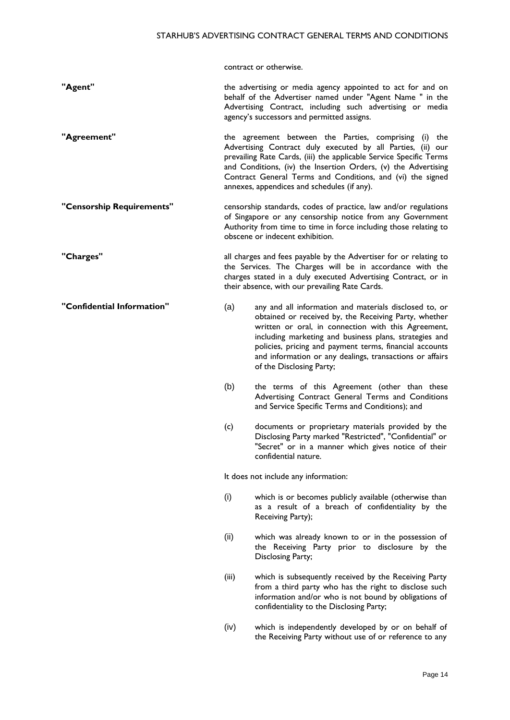contract or otherwise.

- **"Agent"** the advertising or media agency appointed to act for and on behalf of the Advertiser named under "Agent Name " in the Advertising Contract, including such advertising or media agency's successors and permitted assigns.
- **"Agreement"** the agreement between the Parties, comprising (i) the Advertising Contract duly executed by all Parties, (ii) our prevailing Rate Cards, (iii) the applicable Service Specific Terms and Conditions, (iv) the Insertion Orders, (v) the Advertising Contract General Terms and Conditions, and (vi) the signed annexes, appendices and schedules (if any).
- **"Censorship Requirements"** censorship standards, codes of practice, law and/or regulations of Singapore or any censorship notice from any Government Authority from time to time in force including those relating to obscene or indecent exhibition.
- **"Charges"** all charges and fees payable by the Advertiser for or relating to the Services. The Charges will be in accordance with the charges stated in a duly executed Advertising Contract, or in their absence, with our prevailing Rate Cards.
- **"Confidential Information"** (a) any and all information and materials disclosed to, or obtained or received by, the Receiving Party, whether written or oral, in connection with this Agreement, including marketing and business plans, strategies and policies, pricing and payment terms, financial accounts and information or any dealings, transactions or affairs of the Disclosing Party;
	- (b) the terms of this Agreement (other than these Advertising Contract General Terms and Conditions and Service Specific Terms and Conditions); and
	- (c) documents or proprietary materials provided by the Disclosing Party marked "Restricted", "Confidential" or "Secret" or in a manner which gives notice of their confidential nature.

It does not include any information:

- (i) which is or becomes publicly available (otherwise than as a result of a breach of confidentiality by the Receiving Party);
- (ii) which was already known to or in the possession of the Receiving Party prior to disclosure by the Disclosing Party;
- (iii) which is subsequently received by the Receiving Party from a third party who has the right to disclose such information and/or who is not bound by obligations of confidentiality to the Disclosing Party;
- (iv) which is independently developed by or on behalf of the Receiving Party without use of or reference to any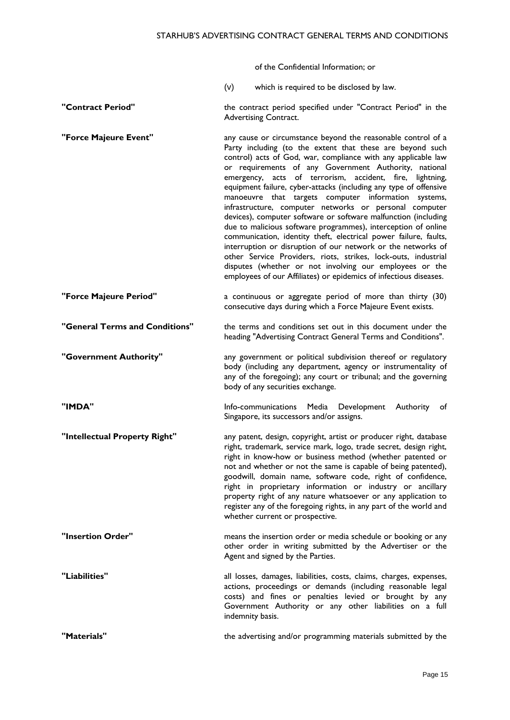of the Confidential Information; or

- (v) which is required to be disclosed by law.
- **"Contract Period"** the contract period specified under "Contract Period" in the Advertising Contract.
- **"Force Majeure Event"** any cause or circumstance beyond the reasonable control of a Party including (to the extent that these are beyond such control) acts of God, war, compliance with any applicable law or requirements of any Government Authority, national emergency, acts of terrorism, accident, fire, lightning, equipment failure, cyber-attacks (including any type of offensive manoeuvre that targets computer information systems, infrastructure, computer networks or personal computer devices), computer software or software malfunction (including due to malicious software programmes), interception of online communication, identity theft, electrical power failure, faults, interruption or disruption of our network or the networks of other Service Providers, riots, strikes, lock-outs, industrial disputes (whether or not involving our employees or the employees of our Affiliates) or epidemics of infectious diseases.
- **"Force Majeure Period"** a continuous or aggregate period of more than thirty (30) consecutive days during which a Force Majeure Event exists.
- **"General Terms and Conditions"** the terms and conditions set out in this document under the heading "Advertising Contract General Terms and Conditions".
- **"Government Authority"** any government or political subdivision thereof or regulatory body (including any department, agency or instrumentality of any of the foregoing); any court or tribunal; and the governing body of any securities exchange.
- "IMDA" **IMDA** Info-communications Media Development Authority of Singapore, its successors and/or assigns.

**"Intellectual Property Right"** any patent, design, copyright, artist or producer right, database right, trademark, service mark, logo, trade secret, design right, right in know-how or business method (whether patented or not and whether or not the same is capable of being patented), goodwill, domain name, software code, right of confidence, right in proprietary information or industry or ancillary property right of any nature whatsoever or any application to register any of the foregoing rights, in any part of the world and whether current or prospective.

**"Insertion Order" means the insertion order or media schedule or booking or any** other order in writing submitted by the Advertiser or the Agent and signed by the Parties.

**"Liabilities"** all losses, damages, liabilities, costs, claims, charges, expenses, actions, proceedings or demands (including reasonable legal costs) and fines or penalties levied or brought by any Government Authority or any other liabilities on a full indemnity basis.

**"Materials"** the advertising and/or programming materials submitted by the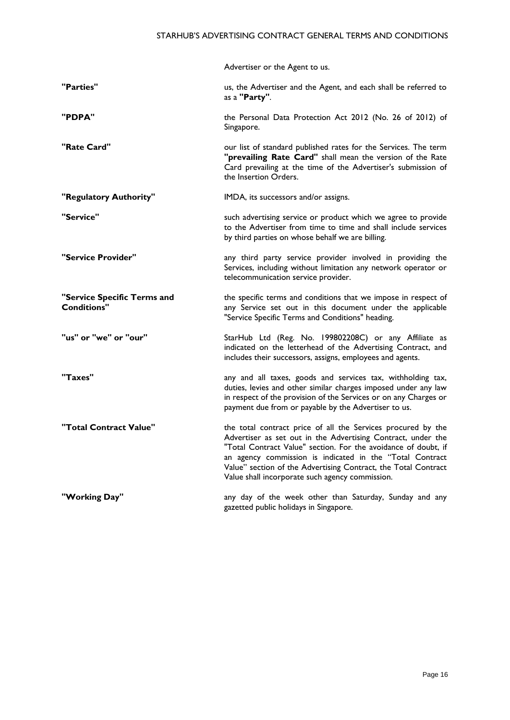|                                                   | Advertiser or the Agent to us.                                                                                                                                                                                                                                                                                                                                                  |
|---------------------------------------------------|---------------------------------------------------------------------------------------------------------------------------------------------------------------------------------------------------------------------------------------------------------------------------------------------------------------------------------------------------------------------------------|
| "Parties"                                         | us, the Advertiser and the Agent, and each shall be referred to<br>as a "Party".                                                                                                                                                                                                                                                                                                |
| "PDPA"                                            | the Personal Data Protection Act 2012 (No. 26 of 2012) of<br>Singapore.                                                                                                                                                                                                                                                                                                         |
| "Rate Card"                                       | our list of standard published rates for the Services. The term<br>"prevailing Rate Card" shall mean the version of the Rate<br>Card prevailing at the time of the Advertiser's submission of<br>the Insertion Orders.                                                                                                                                                          |
| "Regulatory Authority"                            | IMDA, its successors and/or assigns.                                                                                                                                                                                                                                                                                                                                            |
| "Service"                                         | such advertising service or product which we agree to provide<br>to the Advertiser from time to time and shall include services<br>by third parties on whose behalf we are billing.                                                                                                                                                                                             |
| "Service Provider"                                | any third party service provider involved in providing the<br>Services, including without limitation any network operator or<br>telecommunication service provider.                                                                                                                                                                                                             |
| "Service Specific Terms and<br><b>Conditions"</b> | the specific terms and conditions that we impose in respect of<br>any Service set out in this document under the applicable<br>"Service Specific Terms and Conditions" heading.                                                                                                                                                                                                 |
| "us" or "we" or "our"                             | StarHub Ltd (Reg. No. 199802208C) or any Affiliate as<br>indicated on the letterhead of the Advertising Contract, and<br>includes their successors, assigns, employees and agents.                                                                                                                                                                                              |
| "Taxes"                                           | any and all taxes, goods and services tax, withholding tax,<br>duties, levies and other similar charges imposed under any law<br>in respect of the provision of the Services or on any Charges or<br>payment due from or payable by the Advertiser to us.                                                                                                                       |
| "Total Contract Value"                            | the total contract price of all the Services procured by the<br>Advertiser as set out in the Advertising Contract, under the<br>"Total Contract Value" section. For the avoidance of doubt, if<br>an agency commission is indicated in the "Total Contract<br>Value" section of the Advertising Contract, the Total Contract<br>Value shall incorporate such agency commission. |
| "Working Day"                                     | any day of the week other than Saturday, Sunday and any<br>gazetted public holidays in Singapore.                                                                                                                                                                                                                                                                               |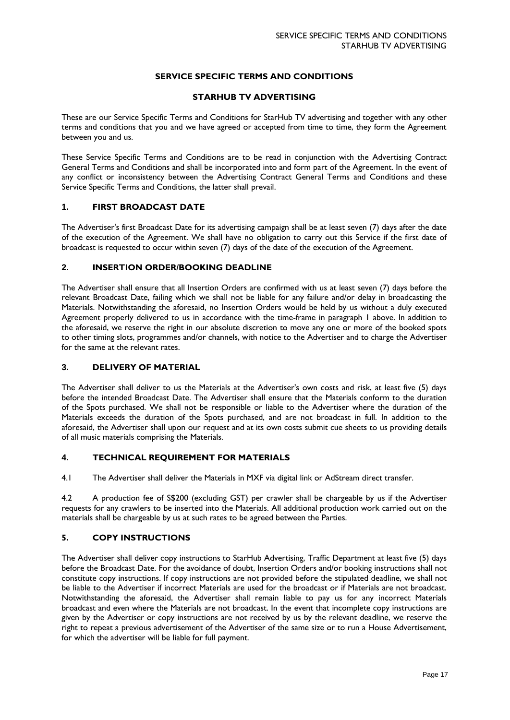# **SERVICE SPECIFIC TERMS AND CONDITIONS**

## **STARHUB TV ADVERTISING**

These are our Service Specific Terms and Conditions for StarHub TV advertising and together with any other terms and conditions that you and we have agreed or accepted from time to time, they form the Agreement between you and us.

These Service Specific Terms and Conditions are to be read in conjunction with the Advertising Contract General Terms and Conditions and shall be incorporated into and form part of the Agreement. In the event of any conflict or inconsistency between the Advertising Contract General Terms and Conditions and these Service Specific Terms and Conditions, the latter shall prevail.

## **1. FIRST BROADCAST DATE**

The Advertiser's first Broadcast Date for its advertising campaign shall be at least seven (7) days after the date of the execution of the Agreement. We shall have no obligation to carry out this Service if the first date of broadcast is requested to occur within seven (7) days of the date of the execution of the Agreement.

## **2. INSERTION ORDER/BOOKING DEADLINE**

The Advertiser shall ensure that all Insertion Orders are confirmed with us at least seven (7) days before the relevant Broadcast Date, failing which we shall not be liable for any failure and/or delay in broadcasting the Materials. Notwithstanding the aforesaid, no Insertion Orders would be held by us without a duly executed Agreement properly delivered to us in accordance with the time-frame in paragraph 1 above. In addition to the aforesaid, we reserve the right in our absolute discretion to move any one or more of the booked spots to other timing slots, programmes and/or channels, with notice to the Advertiser and to charge the Advertiser for the same at the relevant rates.

#### **3. DELIVERY OF MATERIAL**

The Advertiser shall deliver to us the Materials at the Advertiser's own costs and risk, at least five (5) days before the intended Broadcast Date. The Advertiser shall ensure that the Materials conform to the duration of the Spots purchased. We shall not be responsible or liable to the Advertiser where the duration of the Materials exceeds the duration of the Spots purchased, and are not broadcast in full. In addition to the aforesaid, the Advertiser shall upon our request and at its own costs submit cue sheets to us providing details of all music materials comprising the Materials.

# **4. TECHNICAL REQUIREMENT FOR MATERIALS**

4.1 The Advertiser shall deliver the Materials in MXF via digital link or AdStream direct transfer.

4.2 A production fee of S\$200 (excluding GST) per crawler shall be chargeable by us if the Advertiser requests for any crawlers to be inserted into the Materials. All additional production work carried out on the materials shall be chargeable by us at such rates to be agreed between the Parties.

# **5. COPY INSTRUCTIONS**

The Advertiser shall deliver copy instructions to StarHub Advertising, Traffic Department at least five (5) days before the Broadcast Date. For the avoidance of doubt, Insertion Orders and/or booking instructions shall not constitute copy instructions. If copy instructions are not provided before the stipulated deadline, we shall not be liable to the Advertiser if incorrect Materials are used for the broadcast or if Materials are not broadcast. Notwithstanding the aforesaid, the Advertiser shall remain liable to pay us for any incorrect Materials broadcast and even where the Materials are not broadcast. In the event that incomplete copy instructions are given by the Advertiser or copy instructions are not received by us by the relevant deadline, we reserve the right to repeat a previous advertisement of the Advertiser of the same size or to run a House Advertisement, for which the advertiser will be liable for full payment.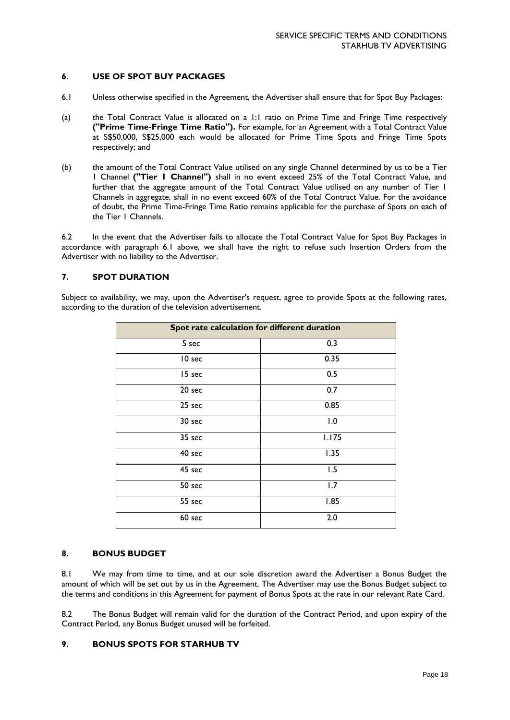# **6**. **USE OF SPOT BUY PACKAGES**

- 6.1 Unless otherwise specified in the Agreement, the Advertiser shall ensure that for Spot Buy Packages:
- (a) the Total Contract Value is allocated on a 1:1 ratio on Prime Time and Fringe Time respectively **("Prime Time-Fringe Time Ratio").** For example, for an Agreement with a Total Contract Value at S\$50,000, S\$25,000 each would be allocated for Prime Time Spots and Fringe Time Spots respectively; and
- (b) the amount of the Total Contract Value utilised on any single Channel determined by us to be a Tier 1 Channel **("Tier 1 Channel")** shall in no event exceed 25% of the Total Contract Value, and further that the aggregate amount of the Total Contract Value utilised on any number of Tier 1 Channels in aggregate, shall in no event exceed 60% of the Total Contract Value. For the avoidance of doubt, the Prime Time-Fringe Time Ratio remains applicable for the purchase of Spots on each of the Tier 1 Channels.

6.2 In the event that the Advertiser fails to allocate the Total Contract Value for Spot Buy Packages in accordance with paragraph 6.1 above, we shall have the right to refuse such Insertion Orders from the Advertiser with no liability to the Advertiser.

# **7. SPOT DURATION**

Subject to availability, we may, upon the Advertiser's request, agree to provide Spots at the following rates, according to the duration of the television advertisement.

| Spot rate calculation for different duration |       |  |
|----------------------------------------------|-------|--|
| 5 sec                                        | 0.3   |  |
| 10 sec                                       | 0.35  |  |
| 15 sec                                       | 0.5   |  |
| 20 sec                                       | 0.7   |  |
| 25 sec                                       | 0.85  |  |
| 30 sec                                       | 1.0   |  |
| 35 sec                                       | 1.175 |  |
| 40 sec                                       | 1.35  |  |
| 45 sec                                       | 1.5   |  |
| 50 sec                                       | 1.7   |  |
| 55 sec                                       | 1.85  |  |
| 60 sec                                       | 2.0   |  |

## **8. BONUS BUDGET**

8.1 We may from time to time, and at our sole discretion award the Advertiser a Bonus Budget the amount of which will be set out by us in the Agreement. The Advertiser may use the Bonus Budget subject to the terms and conditions in this Agreement for payment of Bonus Spots at the rate in our relevant Rate Card.

8.2 The Bonus Budget will remain valid for the duration of the Contract Period, and upon expiry of the Contract Period, any Bonus Budget unused will be forfeited.

### **9. BONUS SPOTS FOR STARHUB TV**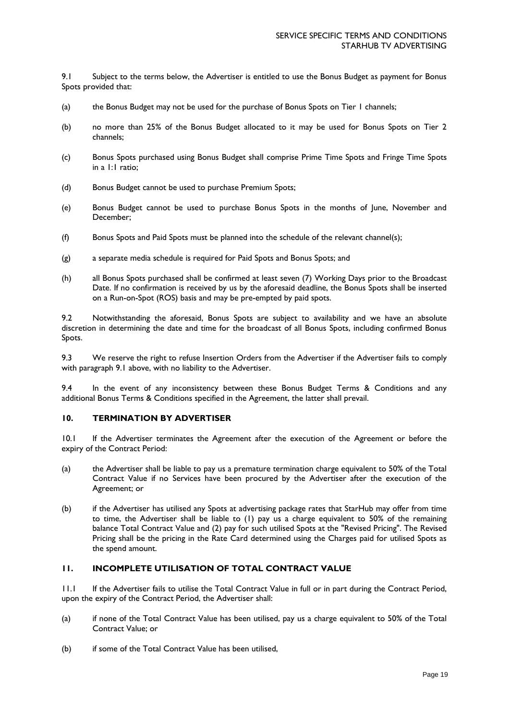9.1 Subject to the terms below, the Advertiser is entitled to use the Bonus Budget as payment for Bonus Spots provided that:

- (a) the Bonus Budget may not be used for the purchase of Bonus Spots on Tier 1 channels;
- (b) no more than 25% of the Bonus Budget allocated to it may be used for Bonus Spots on Tier 2 channels;
- (c) Bonus Spots purchased using Bonus Budget shall comprise Prime Time Spots and Fringe Time Spots in a 1:1 ratio;
- (d) Bonus Budget cannot be used to purchase Premium Spots;
- (e) Bonus Budget cannot be used to purchase Bonus Spots in the months of June, November and December;
- (f) Bonus Spots and Paid Spots must be planned into the schedule of the relevant channel(s);
- (g) a separate media schedule is required for Paid Spots and Bonus Spots; and
- (h) all Bonus Spots purchased shall be confirmed at least seven (7) Working Days prior to the Broadcast Date. If no confirmation is received by us by the aforesaid deadline, the Bonus Spots shall be inserted on a Run-on-Spot (ROS) basis and may be pre-empted by paid spots.

9.2 Notwithstanding the aforesaid, Bonus Spots are subject to availability and we have an absolute discretion in determining the date and time for the broadcast of all Bonus Spots, including confirmed Bonus Spots.

9.3 We reserve the right to refuse Insertion Orders from the Advertiser if the Advertiser fails to comply with paragraph 9.1 above, with no liability to the Advertiser.

9.4 In the event of any inconsistency between these Bonus Budget Terms & Conditions and any additional Bonus Terms & Conditions specified in the Agreement, the latter shall prevail.

### **10. TERMINATION BY ADVERTISER**

10.1 If the Advertiser terminates the Agreement after the execution of the Agreement or before the expiry of the Contract Period:

- (a) the Advertiser shall be liable to pay us a premature termination charge equivalent to 50% of the Total Contract Value if no Services have been procured by the Advertiser after the execution of the Agreement; or
- (b) if the Advertiser has utilised any Spots at advertising package rates that StarHub may offer from time to time, the Advertiser shall be liable to (1) pay us a charge equivalent to 50% of the remaining balance Total Contract Value and (2) pay for such utilised Spots at the "Revised Pricing". The Revised Pricing shall be the pricing in the Rate Card determined using the Charges paid for utilised Spots as the spend amount.

# **11. INCOMPLETE UTILISATION OF TOTAL CONTRACT VALUE**

11.1 If the Advertiser fails to utilise the Total Contract Value in full or in part during the Contract Period, upon the expiry of the Contract Period, the Advertiser shall:

- (a) if none of the Total Contract Value has been utilised, pay us a charge equivalent to 50% of the Total Contract Value; or
- (b) if some of the Total Contract Value has been utilised,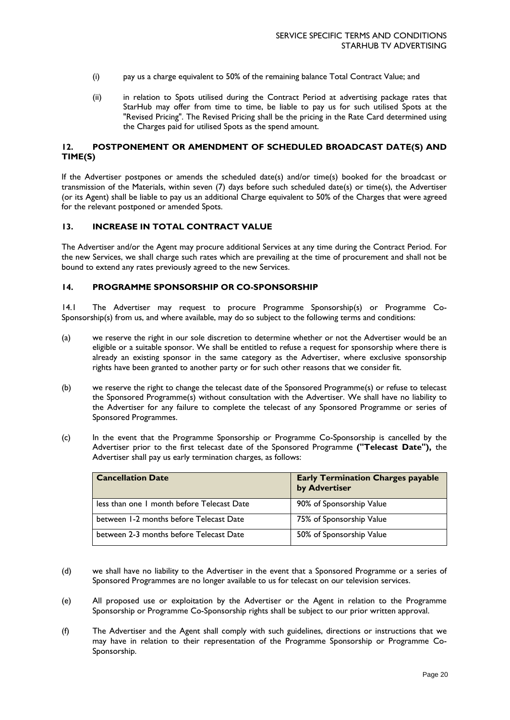- (i) pay us a charge equivalent to 50% of the remaining balance Total Contract Value; and
- (ii) in relation to Spots utilised during the Contract Period at advertising package rates that StarHub may offer from time to time, be liable to pay us for such utilised Spots at the "Revised Pricing". The Revised Pricing shall be the pricing in the Rate Card determined using the Charges paid for utilised Spots as the spend amount.

# **12. POSTPONEMENT OR AMENDMENT OF SCHEDULED BROADCAST DATE(S) AND TIME(S)**

If the Advertiser postpones or amends the scheduled date(s) and/or time(s) booked for the broadcast or transmission of the Materials, within seven (7) days before such scheduled date(s) or time(s), the Advertiser (or its Agent) shall be liable to pay us an additional Charge equivalent to 50% of the Charges that were agreed for the relevant postponed or amended Spots.

## **13. INCREASE IN TOTAL CONTRACT VALUE**

The Advertiser and/or the Agent may procure additional Services at any time during the Contract Period. For the new Services, we shall charge such rates which are prevailing at the time of procurement and shall not be bound to extend any rates previously agreed to the new Services.

### **14. PROGRAMME SPONSORSHIP OR CO-SPONSORSHIP**

14.1 The Advertiser may request to procure Programme Sponsorship(s) or Programme Co-Sponsorship(s) from us, and where available, may do so subject to the following terms and conditions:

- (a) we reserve the right in our sole discretion to determine whether or not the Advertiser would be an eligible or a suitable sponsor. We shall be entitled to refuse a request for sponsorship where there is already an existing sponsor in the same category as the Advertiser, where exclusive sponsorship rights have been granted to another party or for such other reasons that we consider fit.
- (b) we reserve the right to change the telecast date of the Sponsored Programme(s) or refuse to telecast the Sponsored Programme(s) without consultation with the Advertiser. We shall have no liability to the Advertiser for any failure to complete the telecast of any Sponsored Programme or series of Sponsored Programmes.
- (c) In the event that the Programme Sponsorship or Programme Co-Sponsorship is cancelled by the Advertiser prior to the first telecast date of the Sponsored Programme **("Telecast Date"),** the Advertiser shall pay us early termination charges, as follows:

| <b>Cancellation Date</b>                   | <b>Early Termination Charges payable</b><br>by Advertiser |
|--------------------------------------------|-----------------------------------------------------------|
| less than one 1 month before Telecast Date | 90% of Sponsorship Value                                  |
| between 1-2 months before Telecast Date    | 75% of Sponsorship Value                                  |
| between 2-3 months before Telecast Date    | 50% of Sponsorship Value                                  |

- (d) we shall have no liability to the Advertiser in the event that a Sponsored Programme or a series of Sponsored Programmes are no longer available to us for telecast on our television services.
- (e) All proposed use or exploitation by the Advertiser or the Agent in relation to the Programme Sponsorship or Programme Co-Sponsorship rights shall be subject to our prior written approval.
- (f) The Advertiser and the Agent shall comply with such guidelines, directions or instructions that we may have in relation to their representation of the Programme Sponsorship or Programme Co-Sponsorship.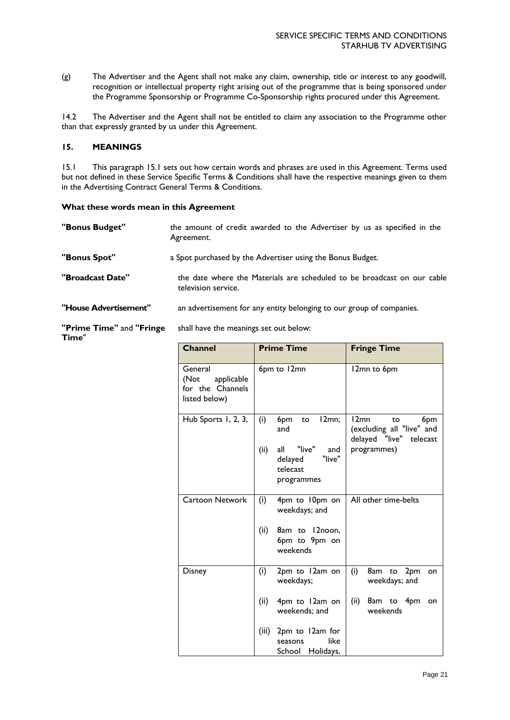(g) The Advertiser and the Agent shall not make any claim, ownership, title or interest to any goodwill, recognition or intellectual property right arising out of the programme that is being sponsored under the Programme Sponsorship or Programme Co-Sponsorship rights procured under this Agreement.

14.2 The Advertiser and the Agent shall not be entitled to claim any association to the Programme other than that expressly granted by us under this Agreement.

# **15. MEANINGS**

15.1 This paragraph 15.1 sets out how certain words and phrases are used in this Agreement. Terms used but not defined in these Service Specific Terms & Conditions shall have the respective meanings given to them in the Advertising Contract General Terms & Conditions.

### **What these words mean in this Agreement**

| "Bonus Budget"        | the amount of credit awarded to the Advertiser by us as specified in the<br>Agreement.         |
|-----------------------|------------------------------------------------------------------------------------------------|
| "Bonus Spot"          | a Spot purchased by the Advertiser using the Bonus Budget.                                     |
| "Broadcast Date"      | the date where the Materials are scheduled to be broadcast on our cable<br>television service. |
| "House Advertisement" | an advertisement for any entity belonging to our group of companies.                           |

**"Prime Time"** and **"Fringe Time**" shall have the meanings set out below:

|             |                                                                                                  | <b>Fringe Time</b>                                                                       |
|-------------|--------------------------------------------------------------------------------------------------|------------------------------------------------------------------------------------------|
|             |                                                                                                  | 12mn to 6pm                                                                              |
| (i)<br>(ii) | 12mn;<br>6pm<br>to<br>and<br>"live"<br>all<br>and<br>"live"<br>delayed<br>telecast<br>programmes | 12mn<br>6pm<br>to<br>(excluding all "live" and<br>delayed "live" telecast<br>programmes) |
| (i)<br>(ii) | 4pm to 10pm on<br>weekdays; and<br>8am to 12noon,<br>6pm to 9pm on<br>weekends                   | All other time-belts                                                                     |
| (i)         | 2pm to 12am on<br>weekdays;                                                                      | (i)<br>8am<br>2pm<br>to<br>on<br>weekdays; and                                           |
| (iii)       | weekends; and<br>2pm to 12am for<br>like<br>seasons                                              | (ii)<br>8am to 4pm<br>on<br>weekends                                                     |
|             | (ii)                                                                                             | <b>Prime Time</b><br>6pm to 12mn<br>4pm to 12am on<br>School Holidays,                   |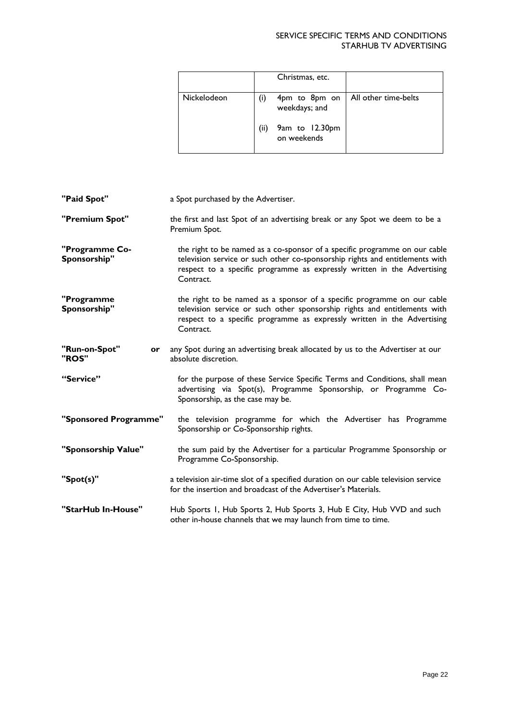# SERVICE SPECIFIC TERMS AND CONDITIONS STARHUB TV ADVERTISING

|             |     | Christmas, etc.                |                      |
|-------------|-----|--------------------------------|----------------------|
| Nickelodeon | (i) | 4pm to 8pm on<br>weekdays; and | All other time-belts |
|             | (i) | 9am to 12.30pm<br>on weekends  |                      |

| "Paid Spot"                    | a Spot purchased by the Advertiser.                                                                                                                                                                                                                |
|--------------------------------|----------------------------------------------------------------------------------------------------------------------------------------------------------------------------------------------------------------------------------------------------|
| "Premium Spot"                 | the first and last Spot of an advertising break or any Spot we deem to be a<br>Premium Spot.                                                                                                                                                       |
| "Programme Co-<br>Sponsorship" | the right to be named as a co-sponsor of a specific programme on our cable<br>television service or such other co-sponsorship rights and entitlements with<br>respect to a specific programme as expressly written in the Advertising<br>Contract. |
| "Programme<br>Sponsorship"     | the right to be named as a sponsor of a specific programme on our cable<br>television service or such other sponsorship rights and entitlements with<br>respect to a specific programme as expressly written in the Advertising<br>Contract.       |
| "Run-on-Spot"<br>or<br>"ROS"   | any Spot during an advertising break allocated by us to the Advertiser at our<br>absolute discretion.                                                                                                                                              |
| "Service"                      | for the purpose of these Service Specific Terms and Conditions, shall mean<br>advertising via Spot(s), Programme Sponsorship, or Programme Co-<br>Sponsorship, as the case may be.                                                                 |
| "Sponsored Programme"          | the television programme for which the Advertiser has Programme<br>Sponsorship or Co-Sponsorship rights.                                                                                                                                           |
| "Sponsorship Value"            | the sum paid by the Advertiser for a particular Programme Sponsorship or<br>Programme Co-Sponsorship.                                                                                                                                              |
| "Spot(s)"                      | a television air-time slot of a specified duration on our cable television service<br>for the insertion and broadcast of the Advertiser's Materials.                                                                                               |
| "StarHub In-House"             | Hub Sports 1, Hub Sports 2, Hub Sports 3, Hub E City, Hub VVD and such<br>other in-house channels that we may launch from time to time.                                                                                                            |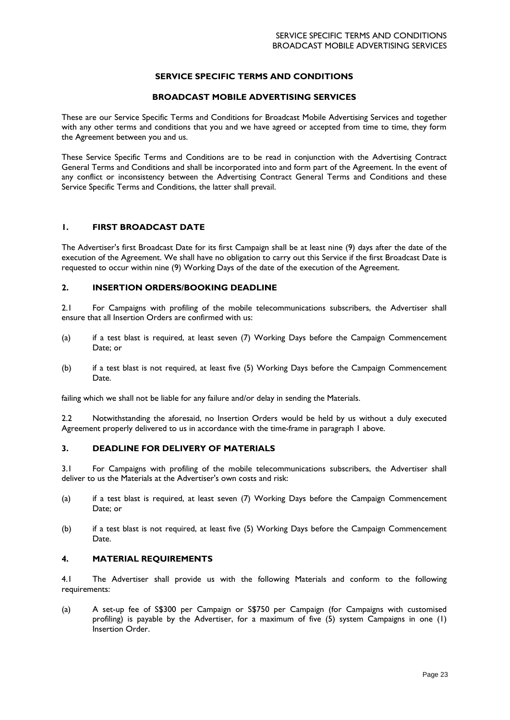# **SERVICE SPECIFIC TERMS AND CONDITIONS**

# **BROADCAST MOBILE ADVERTISING SERVICES**

These are our Service Specific Terms and Conditions for Broadcast Mobile Advertising Services and together with any other terms and conditions that you and we have agreed or accepted from time to time, they form the Agreement between you and us.

These Service Specific Terms and Conditions are to be read in conjunction with the Advertising Contract General Terms and Conditions and shall be incorporated into and form part of the Agreement. In the event of any conflict or inconsistency between the Advertising Contract General Terms and Conditions and these Service Specific Terms and Conditions, the latter shall prevail.

#### **1. FIRST BROADCAST DATE**

The Advertiser's first Broadcast Date for its first Campaign shall be at least nine (9) days after the date of the execution of the Agreement. We shall have no obligation to carry out this Service if the first Broadcast Date is requested to occur within nine (9) Working Days of the date of the execution of the Agreement.

## **2. INSERTION ORDERS/BOOKING DEADLINE**

2.1 For Campaigns with profiling of the mobile telecommunications subscribers, the Advertiser shall ensure that all Insertion Orders are confirmed with us:

- (a) if a test blast is required, at least seven (7) Working Days before the Campaign Commencement Date; or
- (b) if a test blast is not required, at least five (5) Working Days before the Campaign Commencement Date.

failing which we shall not be liable for any failure and/or delay in sending the Materials.

2.2 Notwithstanding the aforesaid, no Insertion Orders would be held by us without a duly executed Agreement properly delivered to us in accordance with the time-frame in paragraph 1 above.

#### **3. DEADLINE FOR DELIVERY OF MATERIALS**

3.1 For Campaigns with profiling of the mobile telecommunications subscribers, the Advertiser shall deliver to us the Materials at the Advertiser's own costs and risk:

- (a) if a test blast is required, at least seven (7) Working Days before the Campaign Commencement Date; or
- (b) if a test blast is not required, at least five (5) Working Days before the Campaign Commencement Date.

# **4. MATERIAL REQUIREMENTS**

4.1 The Advertiser shall provide us with the following Materials and conform to the following requirements:

(a) A set-up fee of S\$300 per Campaign or S\$750 per Campaign (for Campaigns with customised profiling) is payable by the Advertiser, for a maximum of five (5) system Campaigns in one (1) Insertion Order.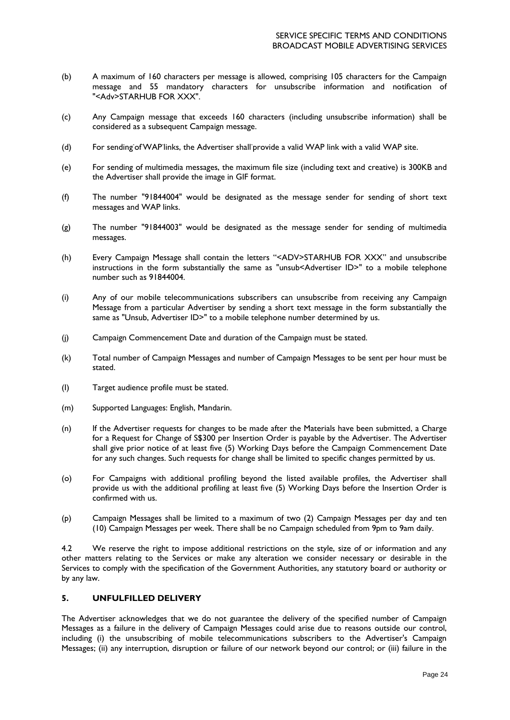- (b) A maximum of 160 characters per message is allowed, comprising 105 characters for the Campaign message and 55 mandatory characters for unsubscribe information and notification of "<Adv>STARHUB FOR XXX".
- (c) Any Campaign message that exceeds 160 characters (including unsubscribe information) shall be considered as a subsequent Campaign message.
- (d) For sending of WAP links, the Advertiser shall provide a valid WAP link with a valid WAP site.
- (e) For sending of multimedia messages, the maximum file size (including text and creative) is 300KB and the Advertiser shall provide the image in GIF format.
- (f) The number "91844004" would be designated as the message sender for sending of short text messages and WAP links.
- (g) The number "91844003" would be designated as the message sender for sending of multimedia messages.
- (h) Every Campaign Message shall contain the letters "<ADV>STARHUB FOR XXX" and unsubscribe instructions in the form substantially the same as "unsub<Advertiser ID>" to a mobile telephone number such as 91844004.
- (i) Any of our mobile telecommunications subscribers can unsubscribe from receiving any Campaign Message from a particular Advertiser by sending a short text message in the form substantially the same as "Unsub, Advertiser ID>" to a mobile telephone number determined by us.
- (j) Campaign Commencement Date and duration of the Campaign must be stated.
- (k) Total number of Campaign Messages and number of Campaign Messages to be sent per hour must be stated.
- (I) Target audience profile must be stated.
- (m) Supported Languages: English, Mandarin.
- (n) If the Advertiser requests for changes to be made after the Materials have been submitted, a Charge for a Request for Change of S\$300 per Insertion Order is payable by the Advertiser. The Advertiser shall give prior notice of at least five (5) Working Days before the Campaign Commencement Date for any such changes. Such requests for change shall be limited to specific changes permitted by us.
- (o) For Campaigns with additional profiling beyond the listed available profiles, the Advertiser shall provide us with the additional profiling at least five (5) Working Days before the Insertion Order is confirmed with us.
- (p) Campaign Messages shall be limited to a maximum of two (2) Campaign Messages per day and ten (10) Campaign Messages per week. There shall be no Campaign scheduled from 9pm to 9am daily.

4.2 We reserve the right to impose additional restrictions on the style, size of or information and any other matters relating to the Services or make any alteration we consider necessary or desirable in the Services to comply with the specification of the Government Authorities, any statutory board or authority or by any law.

#### **5. UNFULFILLED DELIVERY**

The Advertiser acknowledges that we do not guarantee the delivery of the specified number of Campaign Messages as a failure in the delivery of Campaign Messages could arise due to reasons outside our control, including (i) the unsubscribing of mobile telecommunications subscribers to the Advertiser's Campaign Messages; (ii) any interruption, disruption or failure of our network beyond our control; or (iii) failure in the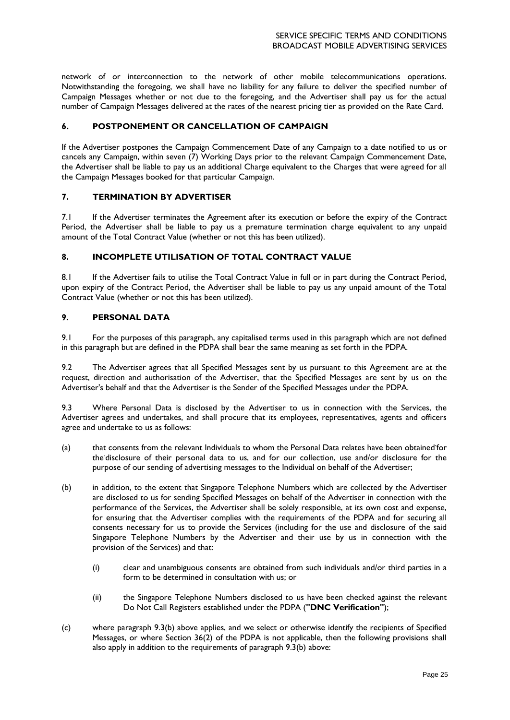network of or interconnection to the network of other mobile telecommunications operations. Notwithstanding the foregoing, we shall have no liability for any failure to deliver the specified number of Campaign Messages whether or not due to the foregoing, and the Advertiser shall pay us for the actual number of Campaign Messages delivered at the rates of the nearest pricing tier as provided on the Rate Card.

# **6. POSTPONEMENT OR CANCELLATION OF CAMPAIGN**

If the Advertiser postpones the Campaign Commencement Date of any Campaign to a date notified to us or cancels any Campaign, within seven (7) Working Days prior to the relevant Campaign Commencement Date, the Advertiser shall be liable to pay us an additional Charge equivalent to the Charges that were agreed for all the Campaign Messages booked for that particular Campaign.

#### **7. TERMINATION BY ADVERTISER**

7.1 If the Advertiser terminates the Agreement after its execution or before the expiry of the Contract Period, the Advertiser shall be liable to pay us a premature termination charge equivalent to any unpaid amount of the Total Contract Value (whether or not this has been utilized).

# **8. INCOMPLETE UTILISATION OF TOTAL CONTRACT VALUE**

8.1 If the Advertiser fails to utilise the Total Contract Value in full or in part during the Contract Period, upon expiry of the Contract Period, the Advertiser shall be liable to pay us any unpaid amount of the Total Contract Value (whether or not this has been utilized).

## **9. PERSONAL DATA**

9.1 For the purposes of this paragraph, any capitalised terms used in this paragraph which are not defined in this paragraph but are defined in the PDPA shall bear the same meaning as set forth in the PDPA.

9.2 The Advertiser agrees that all Specified Messages sent by us pursuant to this Agreement are at the request, direction and authorisation of the Advertiser, that the Specified Messages are sent by us on the Advertiser's behalf and that the Advertiser is the Sender of the Specified Messages under the PDPA.

9.3 Where Personal Data is disclosed by the Advertiser to us in connection with the Services, the Advertiser agrees and undertakes, and shall procure that its employees, representatives, agents and officers agree and undertake to us as follows:

- (a) that consents from the relevant Individuals to whom the Personal Data relates have been obtained for the-disclosure of their personal data to us, and for our collection, use and/or disclosure for the purpose of our sending of advertising messages to the Individual on behalf of the Advertiser;
- (b) in addition, to the extent that Singapore Telephone Numbers which are collected by the Advertiser are disclosed to us for sending Specified Messages on behalf of the Advertiser in connection with the performance of the Services, the Advertiser shall be solely responsible, at its own cost and expense, for ensuring that the Advertiser complies with the requirements of the PDPA and for securing all consents necessary for us to provide the Services (including for the use and disclosure of the said Singapore Telephone Numbers by the Advertiser and their use by us in connection with the provision of the Services) and that:
	- (i) clear and unambiguous consents are obtained from such individuals and/or third parties in a form to be determined in consultation with us; or
	- (ii) the Singapore Telephone Numbers disclosed to us have been checked against the relevant Do Not Call Registers established under the PDPA (**"DNC Verification"**);
- (c) where paragraph 9.3(b) above applies, and we select or otherwise identify the recipients of Specified Messages, or where Section 36(2) of the PDPA is not applicable, then the following provisions shall also apply in addition to the requirements of paragraph 9.3(b) above: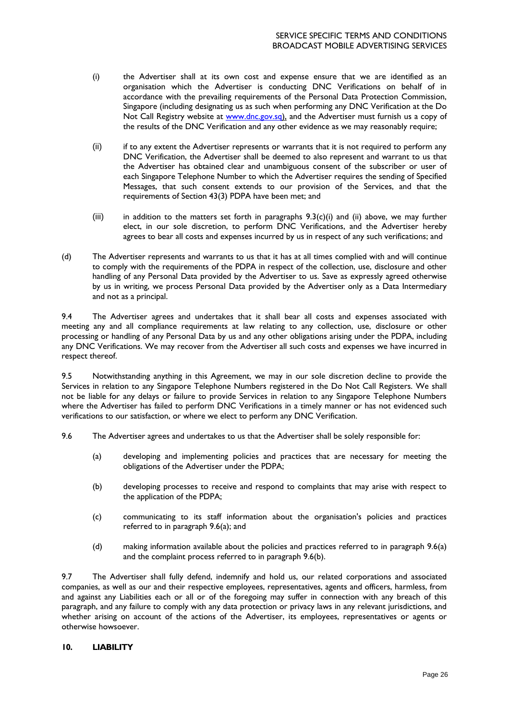- (i) the Advertiser shall at its own cost and expense ensure that we are identified as an organisation which the Advertiser is conducting DNC Verifications on behalf of in accordance with the prevailing requirements of the Personal Data Protection Commission, Singapore (including designating us as such when performing any DNC Verification at the Do Not Call Registry website at [www.dnc.gov.s](http://www.dnc.gov/)q), and the Advertiser must furnish us a copy of the results of the DNC Verification and any other evidence as we may reasonably require;
- (ii) if to any extent the Advertiser represents or warrants that it is not required to perform any DNC Verification, the Advertiser shall be deemed to also represent and warrant to us that the Advertiser has obtained clear and unambiguous consent of the subscriber or user of each Singapore Telephone Number to which the Advertiser requires the sending of Specified Messages, that such consent extends to our provision of the Services, and that the requirements of Section 43(3) PDPA have been met; and
- (iii) in addition to the matters set forth in paragraphs  $9.3(c)(i)$  and (ii) above, we may further elect, in our sole discretion, to perform DNC Verifications, and the Advertiser hereby agrees to bear all costs and expenses incurred by us in respect of any such verifications; and
- (d) The Advertiser represents and warrants to us that it has at all times complied with and will continue to comply with the requirements of the PDPA in respect of the collection, use, disclosure and other handling of any Personal Data provided by the Advertiser to us. Save as expressly agreed otherwise by us in writing, we process Personal Data provided by the Advertiser only as a Data Intermediary and not as a principal.

9.4 The Advertiser agrees and undertakes that it shall bear all costs and expenses associated with meeting any and all compliance requirements at law relating to any collection, use, disclosure or other processing or handling of any Personal Data by us and any other obligations arising under the PDPA, including any DNC Verifications. We may recover from the Advertiser all such costs and expenses we have incurred in respect thereof.

9.5 Notwithstanding anything in this Agreement, we may in our sole discretion decline to provide the Services in relation to any Singapore Telephone Numbers registered in the Do Not Call Registers. We shall not be liable for any delays or failure to provide Services in relation to any Singapore Telephone Numbers where the Advertiser has failed to perform DNC Verifications in a timely manner or has not evidenced such verifications to our satisfaction, or where we elect to perform any DNC Verification.

- 9.6 The Advertiser agrees and undertakes to us that the Advertiser shall be solely responsible for:
	- (a) developing and implementing policies and practices that are necessary for meeting the obligations of the Advertiser under the PDPA;
	- (b) developing processes to receive and respond to complaints that may arise with respect to the application of the PDPA;
	- (c) communicating to its staff information about the organisation's policies and practices referred to in paragraph 9.6(a); and
	- (d) making information available about the policies and practices referred to in paragraph 9.6(a) and the complaint process referred to in paragraph 9.6(b).

9.7 The Advertiser shall fully defend, indemnify and hold us, our related corporations and associated companies, as well as our and their respective employees, representatives, agents and officers, harmless, from and against any Liabilities each or all or of the foregoing may suffer in connection with any breach of this paragraph, and any failure to comply with any data protection or privacy laws in any relevant jurisdictions, and whether arising on account of the actions of the Advertiser, its employees, representatives or agents or otherwise howsoever.

# **10. LIABILITY**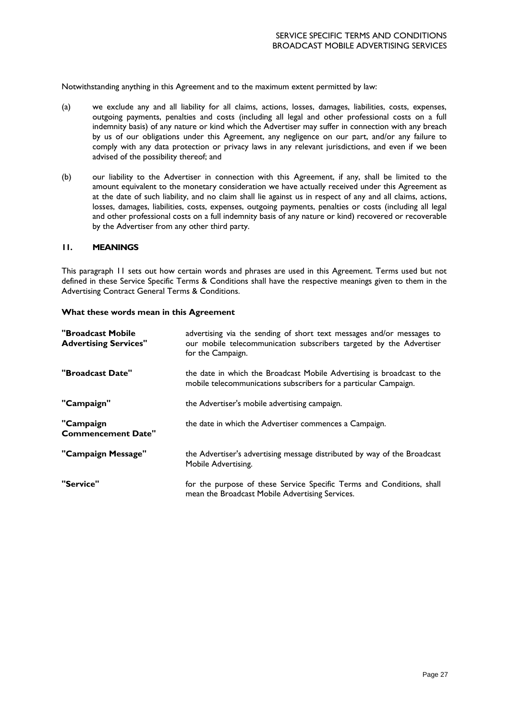Notwithstanding anything in this Agreement and to the maximum extent permitted by law:

- (a) we exclude any and all liability for all claims, actions, losses, damages, liabilities, costs, expenses, outgoing payments, penalties and costs (including all legal and other professional costs on a full indemnity basis) of any nature or kind which the Advertiser may suffer in connection with any breach by us of our obligations under this Agreement, any negligence on our part, and/or any failure to comply with any data protection or privacy laws in any relevant jurisdictions, and even if we been advised of the possibility thereof; and
- (b) our liability to the Advertiser in connection with this Agreement, if any, shall be limited to the amount equivalent to the monetary consideration we have actually received under this Agreement as at the date of such liability, and no claim shall lie against us in respect of any and all claims, actions, losses, damages, liabilities, costs, expenses, outgoing payments, penalties or costs (including all legal and other professional costs on a full indemnity basis of any nature or kind) recovered or recoverable by the Advertiser from any other third party.

#### **11. MEANINGS**

This paragraph 11 sets out how certain words and phrases are used in this Agreement. Terms used but not defined in these Service Specific Terms & Conditions shall have the respective meanings given to them in the Advertising Contract General Terms & Conditions.

#### **What these words mean in this Agreement**

| "Broadcast Mobile<br><b>Advertising Services"</b> | advertising via the sending of short text messages and/or messages to<br>our mobile telecommunication subscribers targeted by the Advertiser<br>for the Campaign. |
|---------------------------------------------------|-------------------------------------------------------------------------------------------------------------------------------------------------------------------|
| "Broadcast Date"                                  | the date in which the Broadcast Mobile Advertising is broadcast to the<br>mobile telecommunications subscribers for a particular Campaign.                        |
| "Campaign"                                        | the Advertiser's mobile advertising campaign.                                                                                                                     |
| "Campaign<br><b>Commencement Date"</b>            | the date in which the Advertiser commences a Campaign.                                                                                                            |
| "Campaign Message"                                | the Advertiser's advertising message distributed by way of the Broadcast<br>Mobile Advertising.                                                                   |
| "Service"                                         | for the purpose of these Service Specific Terms and Conditions, shall<br>mean the Broadcast Mobile Advertising Services.                                          |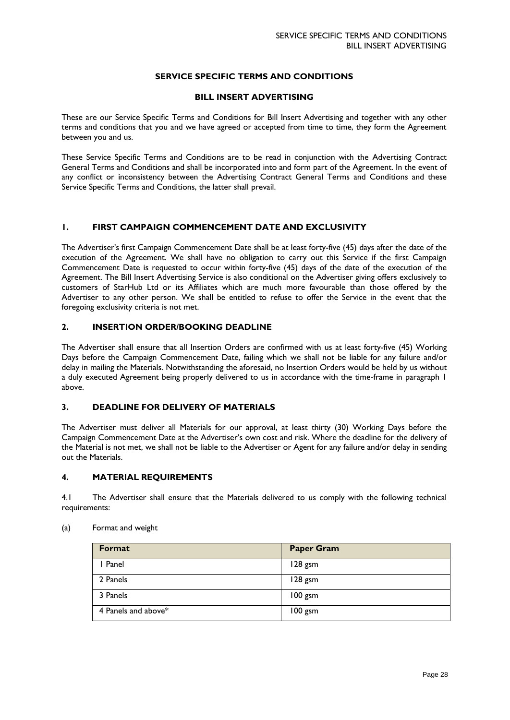# **SERVICE SPECIFIC TERMS AND CONDITIONS**

## **BILL INSERT ADVERTISING**

These are our Service Specific Terms and Conditions for Bill Insert Advertising and together with any other terms and conditions that you and we have agreed or accepted from time to time, they form the Agreement between you and us.

These Service Specific Terms and Conditions are to be read in conjunction with the Advertising Contract General Terms and Conditions and shall be incorporated into and form part of the Agreement. In the event of any conflict or inconsistency between the Advertising Contract General Terms and Conditions and these Service Specific Terms and Conditions, the latter shall prevail.

# **1. FIRST CAMPAIGN COMMENCEMENT DATE AND EXCLUSIVITY**

The Advertiser's first Campaign Commencement Date shall be at least forty-five (45) days after the date of the execution of the Agreement. We shall have no obligation to carry out this Service if the first Campaign Commencement Date is requested to occur within forty-five (45) days of the date of the execution of the Agreement. The Bill Insert Advertising Service is also conditional on the Advertiser giving offers exclusively to customers of StarHub Ltd or its Affiliates which are much more favourable than those offered by the Advertiser to any other person. We shall be entitled to refuse to offer the Service in the event that the foregoing exclusivity criteria is not met.

# **2. INSERTION ORDER/BOOKING DEADLINE**

The Advertiser shall ensure that all Insertion Orders are confirmed with us at least forty-five (45) Working Days before the Campaign Commencement Date, failing which we shall not be liable for any failure and/or delay in mailing the Materials. Notwithstanding the aforesaid, no Insertion Orders would be held by us without a duly executed Agreement being properly delivered to us in accordance with the time-frame in paragraph 1 above.

# **3. DEADLINE FOR DELIVERY OF MATERIALS**

The Advertiser must deliver all Materials for our approval, at least thirty (30) Working Days before the Campaign Commencement Date at the Advertiser's own cost and risk. Where the deadline for the delivery of the Material is not met, we shall not be liable to the Advertiser or Agent for any failure and/or delay in sending out the Materials.

# **4. MATERIAL REQUIREMENTS**

4.1 The Advertiser shall ensure that the Materials delivered to us comply with the following technical requirements:

| Format              | <b>Paper Gram</b> |
|---------------------|-------------------|
| I Panel             | 128 gsm           |
| 2 Panels            | 128 gsm           |
| 3 Panels            | 100 gsm           |
| 4 Panels and above* | 100 gsm           |

(a) Format and weight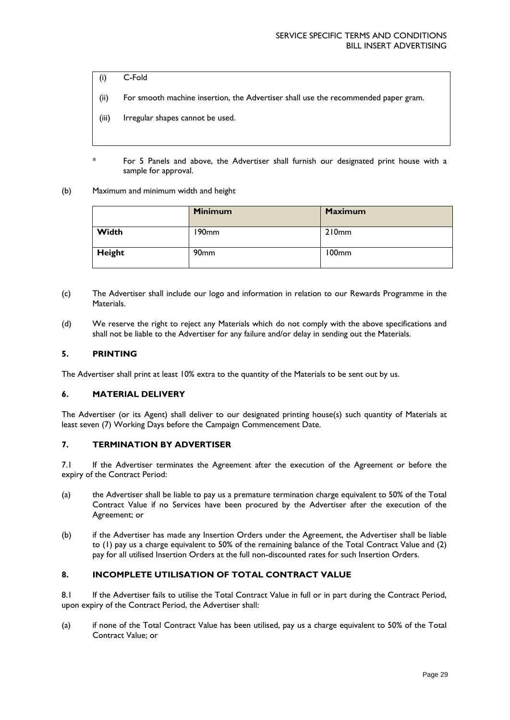- (i) C-Fold
- (ii) For smooth machine insertion, the Advertiser shall use the recommended paper gram.
- (iii) Irregular shapes cannot be used.
- \* For 5 Panels and above, the Advertiser shall furnish our designated print house with a sample for approval.
- (b) Maximum and minimum width and height

|        | <b>Minimum</b>   | <b>Maximum</b> |
|--------|------------------|----------------|
| Width  | 190mm            | 210mm          |
| Height | 90 <sub>mm</sub> | 100mm          |

- (c) The Advertiser shall include our logo and information in relation to our Rewards Programme in the Materials.
- (d) We reserve the right to reject any Materials which do not comply with the above specifications and shall not be liable to the Advertiser for any failure and/or delay in sending out the Materials.

#### **5. PRINTING**

The Advertiser shall print at least 10% extra to the quantity of the Materials to be sent out by us.

#### **6. MATERIAL DELIVERY**

The Advertiser (or its Agent) shall deliver to our designated printing house(s) such quantity of Materials at least seven (7) Working Days before the Campaign Commencement Date.

## **7. TERMINATION BY ADVERTISER**

7.1 If the Advertiser terminates the Agreement after the execution of the Agreement or before the expiry of the Contract Period:

- (a) the Advertiser shall be liable to pay us a premature termination charge equivalent to 50% of the Total Contract Value if no Services have been procured by the Advertiser after the execution of the Agreement; or
- (b) if the Advertiser has made any Insertion Orders under the Agreement, the Advertiser shall be liable to (1) pay us a charge equivalent to 50% of the remaining balance of the Total Contract Value and (2) pay for all utilised Insertion Orders at the full non-discounted rates for such Insertion Orders.

### **8. INCOMPLETE UTILISATION OF TOTAL CONTRACT VALUE**

8.1 If the Advertiser fails to utilise the Total Contract Value in full or in part during the Contract Period, upon expiry of the Contract Period, the Advertiser shall:

(a) if none of the Total Contract Value has been utilised, pay us a charge equivalent to 50% of the Total Contract Value; or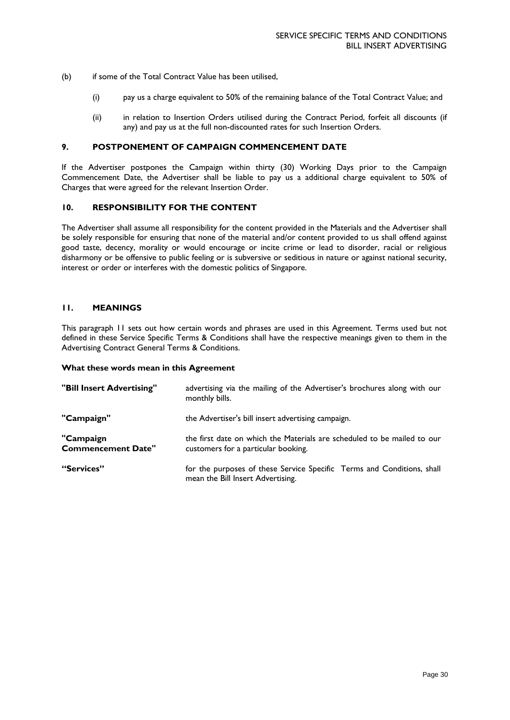- (b) if some of the Total Contract Value has been utilised,
	- (i) pay us a charge equivalent to 50% of the remaining balance of the Total Contract Value; and
	- (ii) in relation to Insertion Orders utilised during the Contract Period, forfeit all discounts (if any) and pay us at the full non-discounted rates for such Insertion Orders.

#### **9. POSTPONEMENT OF CAMPAIGN COMMENCEMENT DATE**

If the Advertiser postpones the Campaign within thirty (30) Working Days prior to the Campaign Commencement Date, the Advertiser shall be liable to pay us a additional charge equivalent to 50% of Charges that were agreed for the relevant Insertion Order.

# **10. RESPONSIBILITY FOR THE CONTENT**

The Advertiser shall assume all responsibility for the content provided in the Materials and the Advertiser shall be solely responsible for ensuring that none of the material and/or content provided to us shall offend against good taste, decency, morality or would encourage or incite crime or lead to disorder, racial or religious disharmony or be offensive to public feeling or is subversive or seditious in nature or against national security, interest or order or interferes with the domestic politics of Singapore.

### **11. MEANINGS**

This paragraph 11 sets out how certain words and phrases are used in this Agreement. Terms used but not defined in these Service Specific Terms & Conditions shall have the respective meanings given to them in the Advertising Contract General Terms & Conditions.

#### **What these words mean in this Agreement**

| "Bill Insert Advertising"              | advertising via the mailing of the Advertiser's brochures along with our<br>monthly bills.                     |
|----------------------------------------|----------------------------------------------------------------------------------------------------------------|
| "Campaign"                             | the Advertiser's bill insert advertising campaign.                                                             |
| "Campaign<br><b>Commencement Date"</b> | the first date on which the Materials are scheduled to be mailed to our<br>customers for a particular booking. |
| "Services"                             | for the purposes of these Service Specific Terms and Conditions, shall<br>mean the Bill Insert Advertising.    |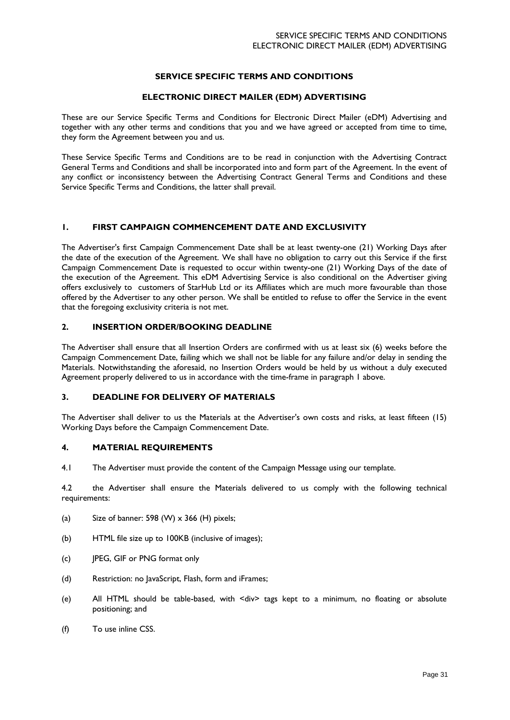# **SERVICE SPECIFIC TERMS AND CONDITIONS**

# **ELECTRONIC DIRECT MAILER (EDM) ADVERTISING**

These are our Service Specific Terms and Conditions for Electronic Direct Mailer (eDM) Advertising and together with any other terms and conditions that you and we have agreed or accepted from time to time, they form the Agreement between you and us.

These Service Specific Terms and Conditions are to be read in conjunction with the Advertising Contract General Terms and Conditions and shall be incorporated into and form part of the Agreement. In the event of any conflict or inconsistency between the Advertising Contract General Terms and Conditions and these Service Specific Terms and Conditions, the latter shall prevail.

## **1. FIRST CAMPAIGN COMMENCEMENT DATE AND EXCLUSIVITY**

The Advertiser's first Campaign Commencement Date shall be at least twenty-one (21) Working Days after the date of the execution of the Agreement. We shall have no obligation to carry out this Service if the first Campaign Commencement Date is requested to occur within twenty-one (21) Working Days of the date of the execution of the Agreement. This eDM Advertising Service is also conditional on the Advertiser giving offers exclusively to customers of StarHub Ltd or its Affiliates which are much more favourable than those offered by the Advertiser to any other person. We shall be entitled to refuse to offer the Service in the event that the foregoing exclusivity criteria is not met.

# **2. INSERTION ORDER/BOOKING DEADLINE**

The Advertiser shall ensure that all Insertion Orders are confirmed with us at least six (6) weeks before the Campaign Commencement Date, failing which we shall not be liable for any failure and/or delay in sending the Materials. Notwithstanding the aforesaid, no Insertion Orders would be held by us without a duly executed Agreement properly delivered to us in accordance with the time-frame in paragraph 1 above.

# **3. DEADLINE FOR DELIVERY OF MATERIALS**

The Advertiser shall deliver to us the Materials at the Advertiser's own costs and risks, at least fifteen (15) Working Days before the Campaign Commencement Date.

#### **4. MATERIAL REQUIREMENTS**

4.1 The Advertiser must provide the content of the Campaign Message using our template.

4.2 the Advertiser shall ensure the Materials delivered to us comply with the following technical requirements:

- (a) Size of banner: 598 (W)  $\times$  366 (H) pixels;
- (b) HTML file size up to 100KB (inclusive of images);
- (c) JPEG, GIF or PNG format only
- (d) Restriction: no JavaScript, Flash, form and iFrames;
- (e) All HTML should be table-based, with <div> tags kept to a minimum, no floating or absolute positioning; and
- (f) To use inline CSS.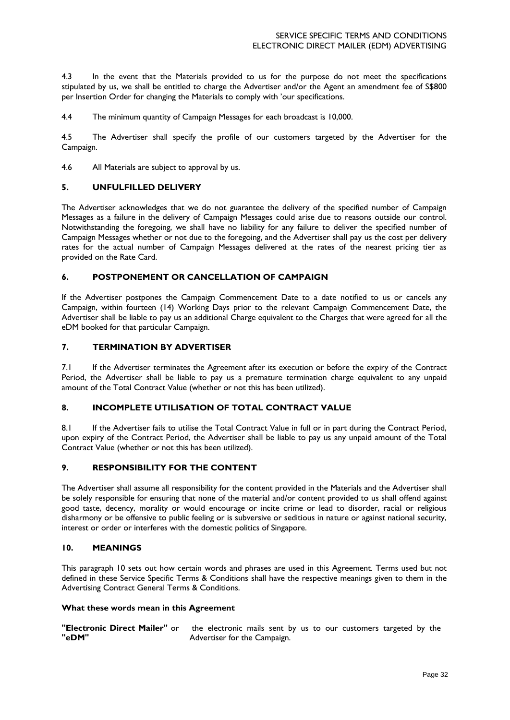4.3 In the event that the Materials provided to us for the purpose do not meet the specifications stipulated by us, we shall be entitled to charge the Advertiser and/or the Agent an amendment fee of S\$800 per Insertion Order for changing the Materials to comply with 'our specifications.

4.4 The minimum quantity of Campaign Messages for each broadcast is 10,000.

4.5 The Advertiser shall specify the profile of our customers targeted by the Advertiser for the Campaign.

4.6 All Materials are subject to approval by us.

#### **5. UNFULFILLED DELIVERY**

The Advertiser acknowledges that we do not guarantee the delivery of the specified number of Campaign Messages as a failure in the delivery of Campaign Messages could arise due to reasons outside our control. Notwithstanding the foregoing, we shall have no liability for any failure to deliver the specified number of Campaign Messages whether or not due to the foregoing, and the Advertiser shall pay us the cost per delivery rates for the actual number of Campaign Messages delivered at the rates of the nearest pricing tier as provided on the Rate Card.

## **6. POSTPONEMENT OR CANCELLATION OF CAMPAIGN**

If the Advertiser postpones the Campaign Commencement Date to a date notified to us or cancels any Campaign, within fourteen (14) Working Days prior to the relevant Campaign Commencement Date, the Advertiser shall be liable to pay us an additional Charge equivalent to the Charges that were agreed for all the eDM booked for that particular Campaign.

## **7. TERMINATION BY ADVERTISER**

7.1 If the Advertiser terminates the Agreement after its execution or before the expiry of the Contract Period, the Advertiser shall be liable to pay us a premature termination charge equivalent to any unpaid amount of the Total Contract Value (whether or not this has been utilized).

# **8. INCOMPLETE UTILISATION OF TOTAL CONTRACT VALUE**

8.1 If the Advertiser fails to utilise the Total Contract Value in full or in part during the Contract Period, upon expiry of the Contract Period, the Advertiser shall be liable to pay us any unpaid amount of the Total Contract Value (whether or not this has been utilized).

#### **9. RESPONSIBILITY FOR THE CONTENT**

The Advertiser shall assume all responsibility for the content provided in the Materials and the Advertiser shall be solely responsible for ensuring that none of the material and/or content provided to us shall offend against good taste, decency, morality or would encourage or incite crime or lead to disorder, racial or religious disharmony or be offensive to public feeling or is subversive or seditious in nature or against national security, interest or order or interferes with the domestic politics of Singapore.

### **10. MEANINGS**

This paragraph 10 sets out how certain words and phrases are used in this Agreement. Terms used but not defined in these Service Specific Terms & Conditions shall have the respective meanings given to them in the Advertising Contract General Terms & Conditions.

#### **What these words mean in this Agreement**

**"Electronic Direct Mailer"** or **"eDM"** the electronic mails sent by us to our customers targeted by the Advertiser for the Campaign.